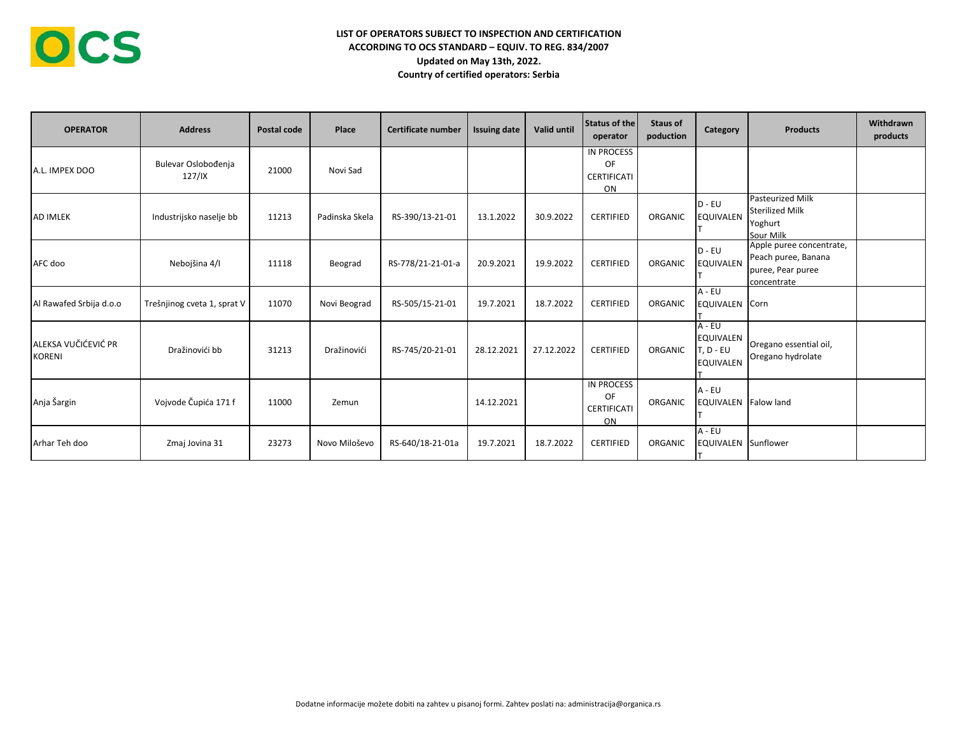| <b>OPERATOR</b>                      | <b>Address</b>                | Postal code | Place          | Certificate number | <b>Issuing date</b> | Valid until | <b>Status of the</b><br>operator                    | <b>Staus of</b><br>poduction | Category                                                      | <b>Products</b>                                                                     | Withdrawn<br>products |
|--------------------------------------|-------------------------------|-------------|----------------|--------------------|---------------------|-------------|-----------------------------------------------------|------------------------------|---------------------------------------------------------------|-------------------------------------------------------------------------------------|-----------------------|
| A.L. IMPEX DOO                       | Bulevar Oslobođenja<br>127/IX | 21000       | Novi Sad       |                    |                     |             | <b>IN PROCESS</b><br>OF<br><b>CERTIFICATI</b><br>ON |                              |                                                               |                                                                                     |                       |
| <b>AD IMLEK</b>                      | Industrijsko naselje bb       | 11213       | Padinska Skela | RS-390/13-21-01    | 13.1.2022           | 30.9.2022   | <b>CERTIFIED</b>                                    | ORGANIC                      | $D - EU$<br><b>EQUIVALEN</b>                                  | <b>Pasteurized Milk</b><br><b>Sterilized Milk</b><br>Yoghurt<br>Sour Milk           |                       |
| AFC doo                              | Nebojšina 4/I                 | 11118       | Beograd        | RS-778/21-21-01-a  | 20.9.2021           | 19.9.2022   | <b>CERTIFIED</b>                                    | ORGANIC                      | $D - EU$<br><b>EQUIVALEN</b>                                  | Apple puree concentrate,<br>Peach puree, Banana<br>puree, Pear puree<br>concentrate |                       |
| Al Rawafed Srbija d.o.o              | Trešnjinog cveta 1, sprat V   | 11070       | Novi Beograd   | RS-505/15-21-01    | 19.7.2021           | 18.7.2022   | <b>CERTIFIED</b>                                    | ORGANIC                      | A - EU<br>EQUIVALEN Corn                                      |                                                                                     |                       |
| ALEKSA VUČIĆEVIĆ PR<br><b>KORENI</b> | Dražinovići bb                | 31213       | Dražinovići    | RS-745/20-21-01    | 28.12.2021          | 27.12.2022  | <b>CERTIFIED</b>                                    | ORGANIC                      | $A - EU$<br><b>EQUIVALEN</b><br>T. D - EU<br><b>EQUIVALEN</b> | Oregano essential oil,<br>Oregano hydrolate                                         |                       |
| Anja Šargin                          | Vojvode Čupića 171 f          | 11000       | Zemun          |                    | 14.12.2021          |             | IN PROCESS<br><b>OF</b><br><b>CERTIFICATI</b><br>ON | ORGANIC                      | $A - EU$<br><b>EQUIVALEN</b> Falow land                       |                                                                                     |                       |
| Arhar Teh doo                        | Zmaj Jovina 31                | 23273       | Novo Miloševo  | RS-640/18-21-01a   | 19.7.2021           | 18.7.2022   | <b>CERTIFIED</b>                                    | ORGANIC                      | $A - EU$<br>EQUIVALEN Sunflower                               |                                                                                     |                       |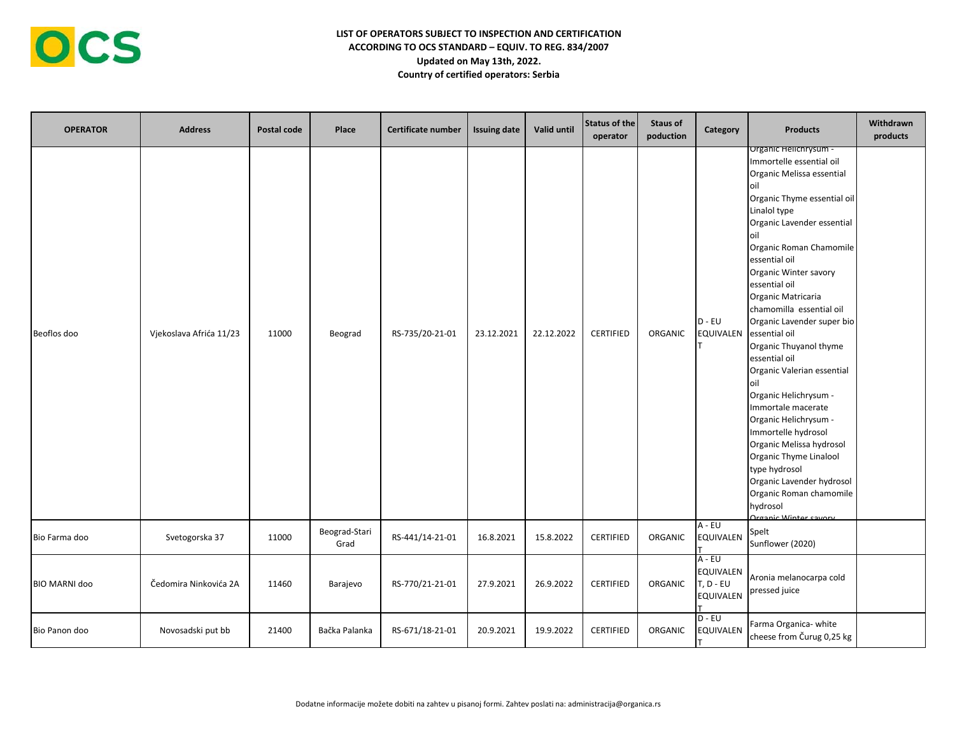

| <b>OPERATOR</b>      | <b>Address</b>          | Postal code | Place                 | <b>Certificate number</b> | <b>Issuing date</b> | <b>Valid until</b> | Status of the<br>operator | <b>Staus of</b><br>poduction | Category                                               | <b>Products</b>                                                                                                                                                                                                                                                                                                                                                                                                                                                                                                                                                                                                                                                                                                      | Withdrawn<br>products |
|----------------------|-------------------------|-------------|-----------------------|---------------------------|---------------------|--------------------|---------------------------|------------------------------|--------------------------------------------------------|----------------------------------------------------------------------------------------------------------------------------------------------------------------------------------------------------------------------------------------------------------------------------------------------------------------------------------------------------------------------------------------------------------------------------------------------------------------------------------------------------------------------------------------------------------------------------------------------------------------------------------------------------------------------------------------------------------------------|-----------------------|
| Beoflos doo          | Vjekoslava Afrića 11/23 | 11000       | Beograd               | RS-735/20-21-01           | 23.12.2021          | 22.12.2022         | <b>CERTIFIED</b>          | ORGANIC                      | $D - EU$<br>EQUIVALEN                                  | Organic Helichrysum -<br>Immortelle essential oil<br>Organic Melissa essential<br>loil<br>Organic Thyme essential oil<br>Linalol type<br>Organic Lavender essential<br>oil<br>Organic Roman Chamomile<br>essential oil<br>Organic Winter savory<br>essential oil<br>Organic Matricaria<br>chamomilla essential oil<br>Organic Lavender super bio<br>essential oil<br>Organic Thuyanol thyme<br>essential oil<br>Organic Valerian essential<br>oil<br>Organic Helichrysum -<br>Immortale macerate<br>Organic Helichrysum -<br>Immortelle hydrosol<br>Organic Melissa hydrosol<br>Organic Thyme Linalool<br>type hydrosol<br>Organic Lavender hydrosol<br>Organic Roman chamomile<br>hydrosol<br>Organic Winter sayory |                       |
| Bio Farma doo        | Svetogorska 37          | 11000       | Beograd-Stari<br>Grad | RS-441/14-21-01           | 16.8.2021           | 15.8.2022          | <b>CERTIFIED</b>          | ORGANIC                      | $A - EU$<br><b>EQUIVALEN</b>                           | Spelt<br>Sunflower (2020)                                                                                                                                                                                                                                                                                                                                                                                                                                                                                                                                                                                                                                                                                            |                       |
| <b>BIO MARNI doo</b> | Čedomira Ninkovića 2A   | 11460       | Barajevo              | RS-770/21-21-01           | 27.9.2021           | 26.9.2022          | <b>CERTIFIED</b>          | ORGANIC                      | A - EU<br>EQUIVALEN<br>$T, D - EU$<br><b>EQUIVALEN</b> | Aronia melanocarpa cold<br>pressed juice                                                                                                                                                                                                                                                                                                                                                                                                                                                                                                                                                                                                                                                                             |                       |
| Bio Panon doo        | Novosadski put bb       | 21400       | Bačka Palanka         | RS-671/18-21-01           | 20.9.2021           | 19.9.2022          | <b>CERTIFIED</b>          | ORGANIC                      | $D - EU$<br>EQUIVALEN                                  | Farma Organica- white<br>cheese from Čurug 0,25 kg                                                                                                                                                                                                                                                                                                                                                                                                                                                                                                                                                                                                                                                                   |                       |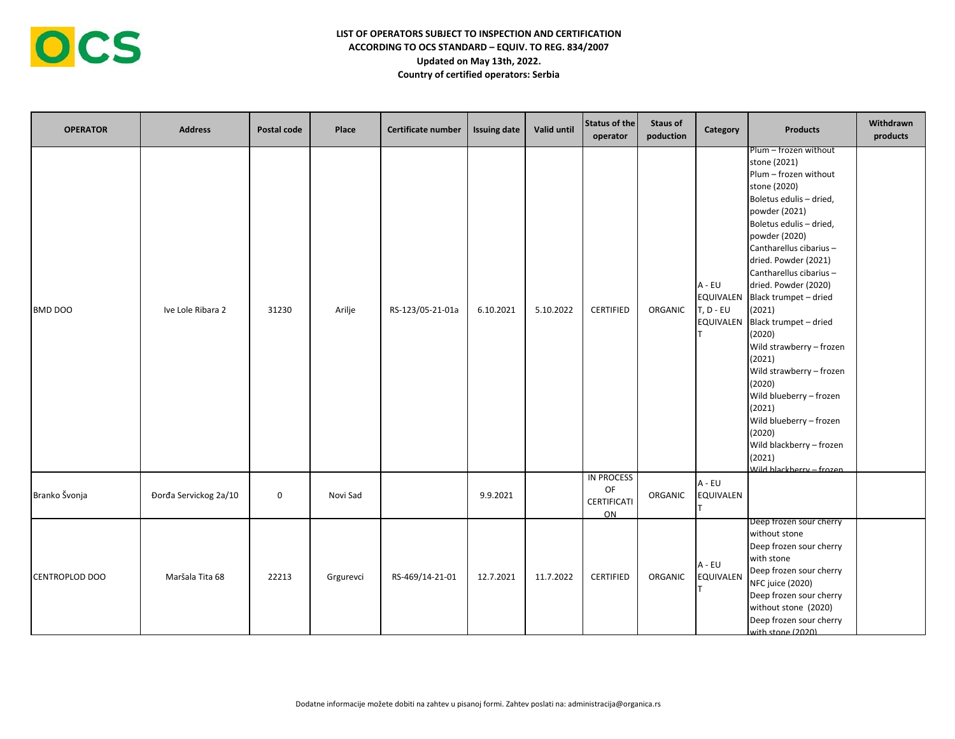| <b>OPERATOR</b> | <b>Address</b>        | Postal code | Place     | Certificate number | <b>Issuing date</b> | Valid until | <b>Status of the</b><br>operator      | <b>Staus of</b><br>poduction | Category                                                 | <b>Products</b>                                                                                                                                                                                                                                                                                                                                                                                                                                                                                                                                                           | Withdrawn<br>products |
|-----------------|-----------------------|-------------|-----------|--------------------|---------------------|-------------|---------------------------------------|------------------------------|----------------------------------------------------------|---------------------------------------------------------------------------------------------------------------------------------------------------------------------------------------------------------------------------------------------------------------------------------------------------------------------------------------------------------------------------------------------------------------------------------------------------------------------------------------------------------------------------------------------------------------------------|-----------------------|
| <b>BMD DOO</b>  | Ive Lole Ribara 2     | 31230       | Arilje    | RS-123/05-21-01a   | 6.10.2021           | 5.10.2022   | <b>CERTIFIED</b>                      | ORGANIC                      | $A - EU$<br>EQUIVALEN<br>$T, D - EU$<br><b>EQUIVALEN</b> | Plum - frozen without<br>stone (2021)<br>Plum - frozen without<br>stone (2020)<br>Boletus edulis - dried,<br>powder (2021)<br>Boletus edulis - dried,<br>powder (2020)<br>Cantharellus cibarius-<br>dried. Powder (2021)<br>Cantharellus cibarius -<br>dried. Powder (2020)<br>Black trumpet - dried<br>(2021)<br>Black trumpet - dried<br>(2020)<br>Wild strawberry - frozen<br>(2021)<br>Wild strawberry - frozen<br>(2020)<br>Wild blueberry - frozen<br>(2021)<br>Wild blueberry - frozen<br>(2020)<br>Wild blackberry - frozen<br>(2021)<br>Wild blackberry - frozen |                       |
| Branko Švonja   | Đorđa Servickog 2a/10 | $\mathbf 0$ | Novi Sad  |                    | 9.9.2021            |             | IN PROCESS<br>OF<br>CERTIFICATI<br>ON | <b>ORGANIC</b>               | A - EU<br><b>EQUIVALEN</b>                               |                                                                                                                                                                                                                                                                                                                                                                                                                                                                                                                                                                           |                       |
| CENTROPLOD DOO  | Maršala Tita 68       | 22213       | Grgurevci | RS-469/14-21-01    | 12.7.2021           | 11.7.2022   | <b>CERTIFIED</b>                      | ORGANIC                      | A - EU<br>EQUIVALEN                                      | Deep frozen sour cherry<br>without stone<br>Deep frozen sour cherry<br>with stone<br>Deep frozen sour cherry<br><b>NFC juice (2020)</b><br>Deep frozen sour cherry<br>without stone (2020)<br>Deep frozen sour cherry<br>with stone (2020)                                                                                                                                                                                                                                                                                                                                |                       |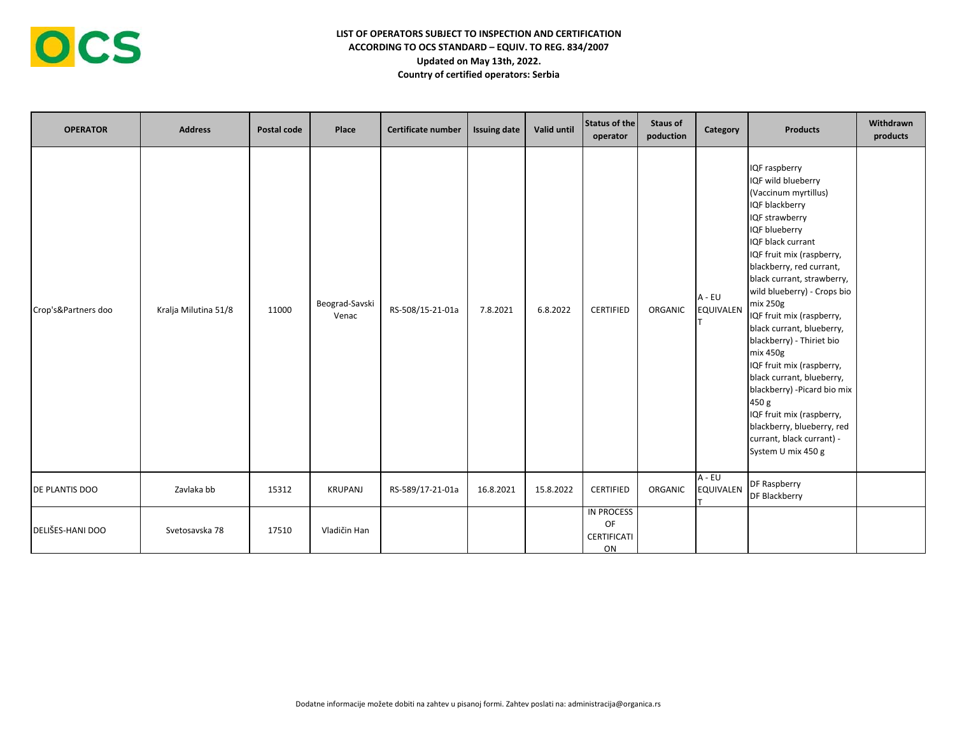| <b>OPERATOR</b>       | <b>Address</b>       | Postal code | Place                   | Certificate number | <b>Issuing date</b> | Valid until | Status of the<br>operator             | <b>Staus of</b><br>poduction | Category                   | <b>Products</b>                                                                                                                                                                                                                                                                                                                                                                                                                                                                                                                                                                             | Withdrawn<br>products |
|-----------------------|----------------------|-------------|-------------------------|--------------------|---------------------|-------------|---------------------------------------|------------------------------|----------------------------|---------------------------------------------------------------------------------------------------------------------------------------------------------------------------------------------------------------------------------------------------------------------------------------------------------------------------------------------------------------------------------------------------------------------------------------------------------------------------------------------------------------------------------------------------------------------------------------------|-----------------------|
| Crop's&Partners doo   | Kralja Milutina 51/8 | 11000       | Beograd-Savski<br>Venac | RS-508/15-21-01a   | 7.8.2021            | 6.8.2022    | <b>CERTIFIED</b>                      | ORGANIC                      | A - EU<br><b>EQUIVALEN</b> | IQF raspberry<br>IQF wild blueberry<br>(Vaccinum myrtillus)<br>IQF blackberry<br>IQF strawberry<br>IQF blueberry<br>IQF black currant<br>IQF fruit mix (raspberry,<br>blackberry, red currant,<br>black currant, strawberry,<br>wild blueberry) - Crops bio<br>mix 250g<br>IQF fruit mix (raspberry,<br>black currant, blueberry,<br>blackberry) - Thiriet bio<br>mix 450g<br>IQF fruit mix (raspberry,<br>black currant, blueberry,<br>blackberry) - Picard bio mix<br>450 g<br>IQF fruit mix (raspberry,<br>blackberry, blueberry, red<br>currant, black currant) -<br>System U mix 450 g |                       |
| <b>DE PLANTIS DOO</b> | Zavlaka bb           | 15312       | KRUPANJ                 | RS-589/17-21-01a   | 16.8.2021           | 15.8.2022   | <b>CERTIFIED</b>                      | ORGANIC                      | A - EU<br>EQUIVALEN        | DF Raspberry<br>DF Blackberry                                                                                                                                                                                                                                                                                                                                                                                                                                                                                                                                                               |                       |
| DELIŠES-HANI DOO      | Svetosavska 78       | 17510       | Vladičin Han            |                    |                     |             | IN PROCESS<br>OF<br>CERTIFICATI<br>ON |                              |                            |                                                                                                                                                                                                                                                                                                                                                                                                                                                                                                                                                                                             |                       |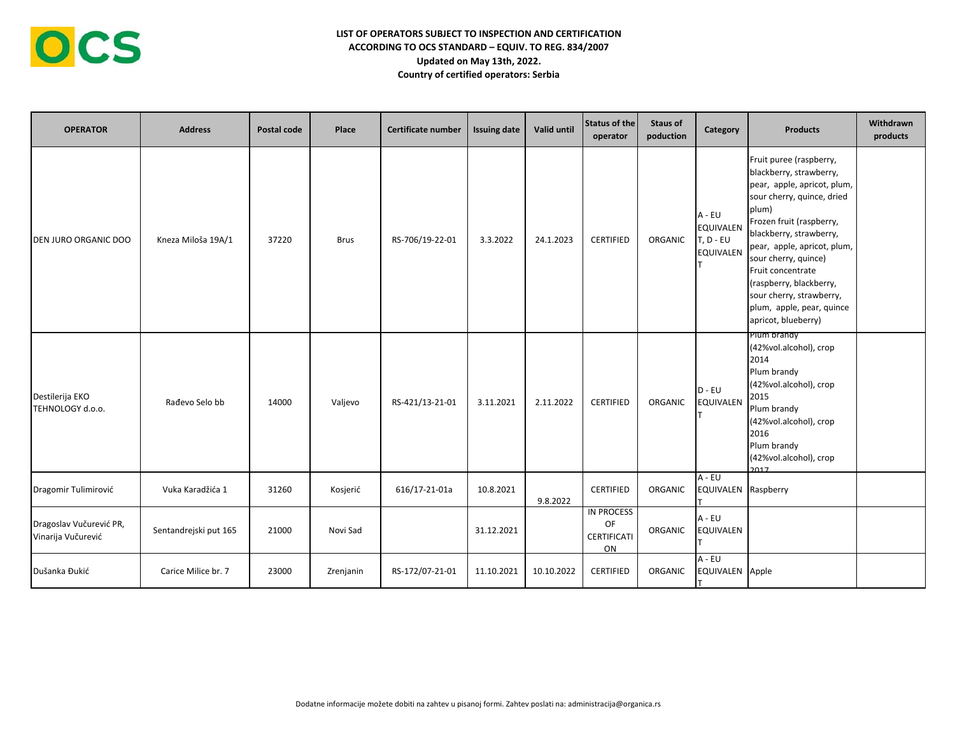

| <b>OPERATOR</b>                               | <b>Address</b>        | Postal code | Place     | Certificate number | <b>Issuing date</b> | Valid until | Status of the<br>operator             | <b>Staus of</b><br>poduction | Category                                                      | <b>Products</b>                                                                                                                                                                                                                                                                                                                                                        | Withdrawn<br>products |
|-----------------------------------------------|-----------------------|-------------|-----------|--------------------|---------------------|-------------|---------------------------------------|------------------------------|---------------------------------------------------------------|------------------------------------------------------------------------------------------------------------------------------------------------------------------------------------------------------------------------------------------------------------------------------------------------------------------------------------------------------------------------|-----------------------|
| <b>DEN JURO ORGANIC DOO</b>                   | Kneza Miloša 19A/1    | 37220       | Brus      | RS-706/19-22-01    | 3.3.2022            | 24.1.2023   | <b>CERTIFIED</b>                      | ORGANIC                      | A - EU<br><b>EQUIVALEN</b><br>$T, D - EU$<br><b>EQUIVALEN</b> | Fruit puree (raspberry,<br>blackberry, strawberry,<br>pear, apple, apricot, plum,<br>sour cherry, quince, dried<br>plum)<br>Frozen fruit (raspberry,<br>blackberry, strawberry,<br>pear, apple, apricot, plum,<br>sour cherry, quince)<br>Fruit concentrate<br>(raspberry, blackberry,<br>sour cherry, strawberry,<br>plum, apple, pear, quince<br>apricot, blueberry) |                       |
| Destilerija EKO<br>TEHNOLOGY d.o.o.           | Rađevo Selo bb        | 14000       | Valjevo   | RS-421/13-21-01    | 3.11.2021           | 2.11.2022   | <b>CERTIFIED</b>                      | ORGANIC                      | $D - EU$<br><b>EQUIVALEN</b>                                  | Plum brandy<br>(42%vol.alcohol), crop<br>2014<br>Plum brandy<br>(42%vol.alcohol), crop<br>2015<br>Plum brandy<br>(42%vol.alcohol), crop<br>2016<br>Plum brandy<br>(42%vol.alcohol), crop<br>2017                                                                                                                                                                       |                       |
| Dragomir Tulimirović                          | Vuka Karadžića 1      | 31260       | Kosjerić  | 616/17-21-01a      | 10.8.2021           | 9.8.2022    | <b>CERTIFIED</b>                      | ORGANIC                      | A - EU<br>EQUIVALEN Raspberry                                 |                                                                                                                                                                                                                                                                                                                                                                        |                       |
| Dragoslav Vučurević PR,<br>Vinarija Vučurević | Sentandrejski put 165 | 21000       | Novi Sad  |                    | 31.12.2021          |             | IN PROCESS<br>OF<br>CERTIFICATI<br>ON | ORGANIC                      | A - EU<br><b>EQUIVALEN</b>                                    |                                                                                                                                                                                                                                                                                                                                                                        |                       |
| Dušanka Đukić                                 | Carice Milice br. 7   | 23000       | Zrenjanin | RS-172/07-21-01    | 11.10.2021          | 10.10.2022  | <b>CERTIFIED</b>                      | ORGANIC                      | $A - EU$<br>EQUIVALEN Apple                                   |                                                                                                                                                                                                                                                                                                                                                                        |                       |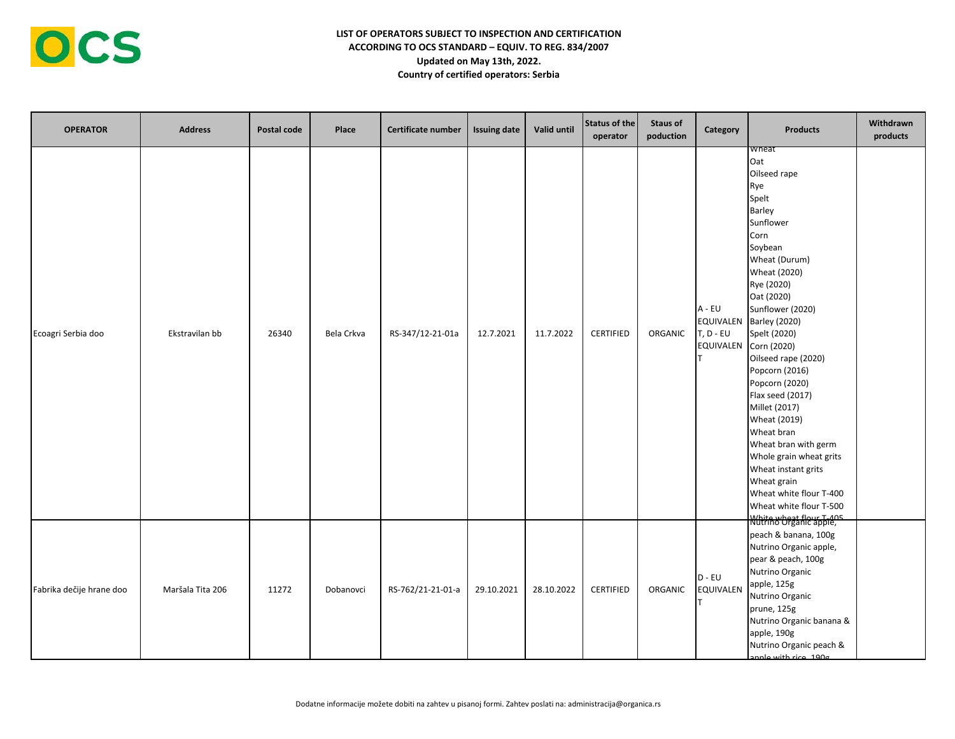

| <b>OPERATOR</b>          | <b>Address</b>   | Postal code | Place      | Certificate number | <b>Issuing date</b> | Valid until | Status of the<br>operator | <b>Staus of</b><br>poduction | Category                                                      | <b>Products</b>                                                                                                                                                                                                                                                                                                                                                                                                                                                                                                                        | Withdrawn<br>products |
|--------------------------|------------------|-------------|------------|--------------------|---------------------|-------------|---------------------------|------------------------------|---------------------------------------------------------------|----------------------------------------------------------------------------------------------------------------------------------------------------------------------------------------------------------------------------------------------------------------------------------------------------------------------------------------------------------------------------------------------------------------------------------------------------------------------------------------------------------------------------------------|-----------------------|
| Ecoagri Serbia doo       | Ekstravilan bb   | 26340       | Bela Crkva | RS-347/12-21-01a   | 12.7.2021           | 11.7.2022   | <b>CERTIFIED</b>          | ORGANIC                      | A - EU<br><b>EQUIVALEN</b><br>$T, D - EU$<br><b>EQUIVALEN</b> | wneat<br>Oat<br>Oilseed rape<br>Rye<br>Spelt<br>Barley<br>Sunflower<br>Corn<br>Soybean<br>Wheat (Durum)<br>Wheat (2020)<br>Rye (2020)<br>Oat (2020)<br>Sunflower (2020)<br><b>Barley (2020)</b><br>Spelt (2020)<br>Corn (2020)<br>Oilseed rape (2020)<br>Popcorn (2016)<br>Popcorn (2020)<br>Flax seed (2017)<br>Millet (2017)<br>Wheat (2019)<br>Wheat bran<br>Wheat bran with germ<br>Whole grain wheat grits<br>Wheat instant grits<br>Wheat grain<br>Wheat white flour T-400<br>Wheat white flour T-500<br>White wheat flour T-405 |                       |
| Fabrika dečije hrane doo | Maršala Tita 206 | 11272       | Dobanovci  | RS-762/21-21-01-a  | 29.10.2021          | 28.10.2022  | <b>CERTIFIED</b>          | ORGANIC                      | $D - EU$<br><b>EQUIVALEN</b>                                  | peach & banana, 100g<br>Nutrino Organic apple,<br>pear & peach, 100g<br>Nutrino Organic<br>apple, 125g<br>Nutrino Organic<br>prune, 125g<br>Nutrino Organic banana &<br>apple, 190g<br>Nutrino Organic peach &<br>annle with rice 190g                                                                                                                                                                                                                                                                                                 |                       |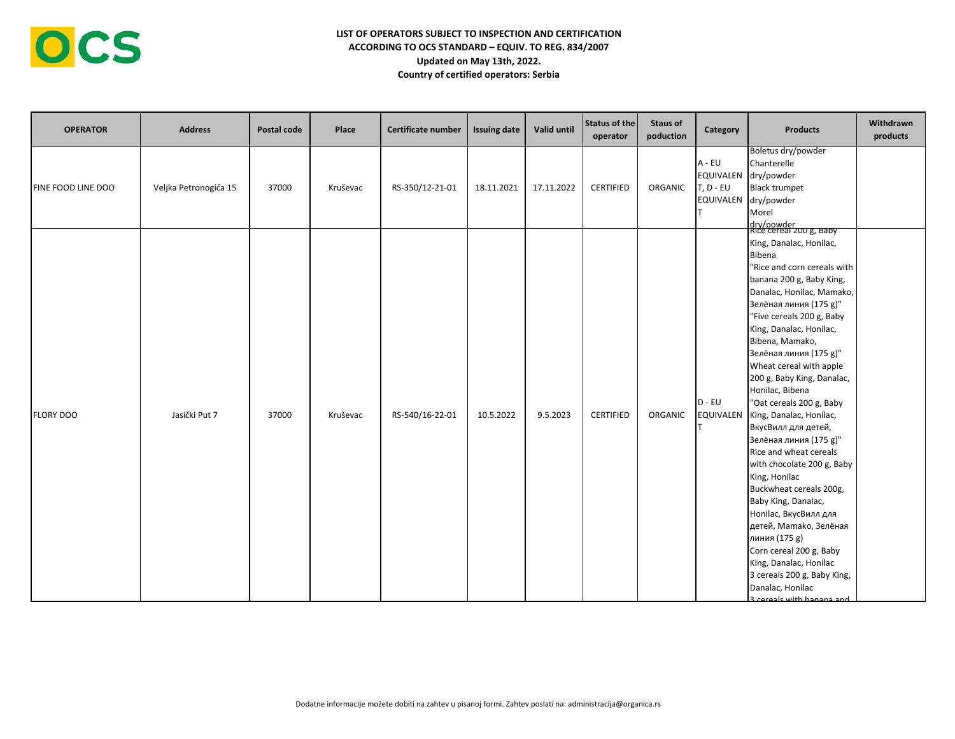

| <b>OPERATOR</b>    | <b>Address</b>        | Postal code | Place    | Certificate number | <b>Issuing date</b> | Valid until | Status of the<br>operator | <b>Staus of</b><br>poduction | Category                                        | <b>Products</b>                                                                                                                                                                                                                                                                                                                                                                                                                                                                                                                                                                                                                                                                                                                                                                  | Withdrawn<br>products |
|--------------------|-----------------------|-------------|----------|--------------------|---------------------|-------------|---------------------------|------------------------------|-------------------------------------------------|----------------------------------------------------------------------------------------------------------------------------------------------------------------------------------------------------------------------------------------------------------------------------------------------------------------------------------------------------------------------------------------------------------------------------------------------------------------------------------------------------------------------------------------------------------------------------------------------------------------------------------------------------------------------------------------------------------------------------------------------------------------------------------|-----------------------|
| FINE FOOD LINE DOO | Veljka Petronogića 15 | 37000       | Kruševac | RS-350/12-21-01    | 18.11.2021          | 17.11.2022  | <b>CERTIFIED</b>          | ORGANIC                      | A - EU<br>EQUIVALEN<br>$T, D - EU$<br>EQUIVALEN | Boletus dry/powder<br>Chanterelle<br>dry/powder<br><b>Black trumpet</b><br>dry/powder<br>Morel<br>dry/powder<br>Rice cereal 200 g, Baby                                                                                                                                                                                                                                                                                                                                                                                                                                                                                                                                                                                                                                          |                       |
| <b>FLORY DOO</b>   | Jasički Put 7         | 37000       | Kruševac | RS-540/16-22-01    | 10.5.2022           | 9.5.2023    | <b>CERTIFIED</b>          | ORGANIC                      | $D - EU$<br><b>EQUIVALEN</b>                    | King, Danalac, Honilac,<br>Bibena<br>"Rice and corn cereals with<br>banana 200 g, Baby King,<br>Danalac, Honilac, Mamako,<br>Зелёная линия (175 g)"<br>"Five cereals 200 g, Baby<br>King, Danalac, Honilac,<br>Bibena, Mamako,<br>Зелёная линия (175 g)"<br>Wheat cereal with apple<br>200 g, Baby King, Danalac,<br>Honilac, Bibena<br>"Oat cereals 200 g, Baby<br>King, Danalac, Honilac,<br>ВкусВилл для детей,<br>Зелёная линия (175 g)"<br>Rice and wheat cereals<br>with chocolate 200 g, Baby<br>King, Honilac<br>Buckwheat cereals 200g,<br>Baby King, Danalac,<br>Honilac, ВкусВилл для<br>детей, Mamako, Зелёная<br>линия (175 g)<br>Corn cereal 200 g, Baby<br>King, Danalac, Honilac<br>3 cereals 200 g, Baby King,<br>Danalac, Honilac<br>3 cereals with hanana and |                       |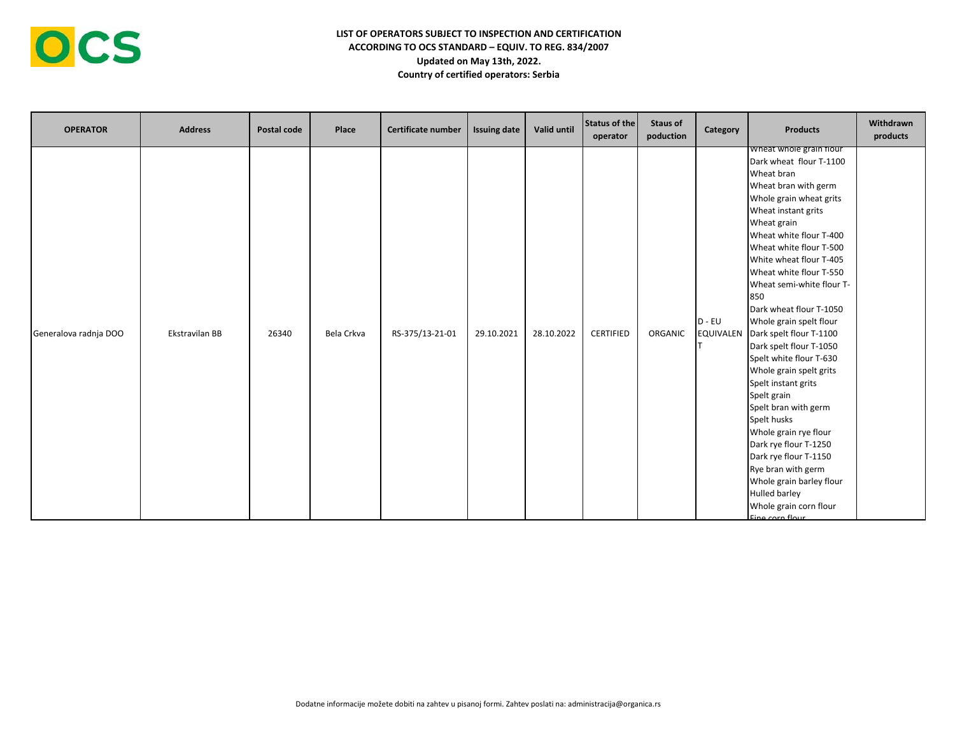

| <b>OPERATOR</b>       | <b>Address</b> | Postal code | Place      | Certificate number | <b>Issuing date</b> | Valid until | <b>Status of the</b><br>operator | <b>Staus of</b><br>poduction | Category                     | <b>Products</b>                                                                                                                                                                                                                                                                                                                                                                                                                                                                                                                                                                                                                                                                                                                                     | Withdrawn<br>products |
|-----------------------|----------------|-------------|------------|--------------------|---------------------|-------------|----------------------------------|------------------------------|------------------------------|-----------------------------------------------------------------------------------------------------------------------------------------------------------------------------------------------------------------------------------------------------------------------------------------------------------------------------------------------------------------------------------------------------------------------------------------------------------------------------------------------------------------------------------------------------------------------------------------------------------------------------------------------------------------------------------------------------------------------------------------------------|-----------------------|
| Generalova radnja DOO | Ekstravilan BB | 26340       | Bela Crkva | RS-375/13-21-01    | 29.10.2021          | 28.10.2022  | CERTIFIED                        | ORGANIC                      | $D - EU$<br><b>EQUIVALEN</b> | wheat whole grain flour<br>Dark wheat flour T-1100<br>Wheat bran<br>Wheat bran with germ<br>Whole grain wheat grits<br>Wheat instant grits<br>Wheat grain<br>Wheat white flour T-400<br>Wheat white flour T-500<br>White wheat flour T-405<br>Wheat white flour T-550<br>Wheat semi-white flour T-<br>850<br>Dark wheat flour T-1050<br>Whole grain spelt flour<br>Dark spelt flour T-1100<br>Dark spelt flour T-1050<br>Spelt white flour T-630<br>Whole grain spelt grits<br>Spelt instant grits<br>Spelt grain<br>Spelt bran with germ<br>Spelt husks<br>Whole grain rye flour<br>Dark rye flour T-1250<br>Dark rye flour T-1150<br>Rye bran with germ<br>Whole grain barley flour<br>Hulled barley<br>Whole grain corn flour<br>Fine corn flour |                       |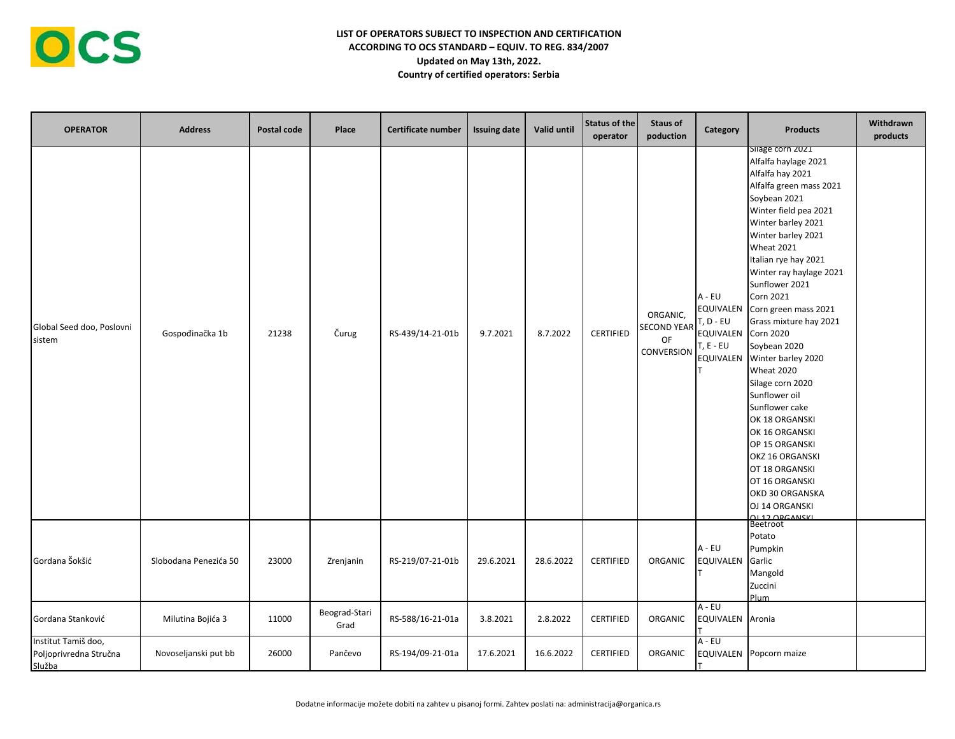| <b>OPERATOR</b>                                         | <b>Address</b>        | Postal code | Place                 | Certificate number | <b>Issuing date</b> | Valid until | Status of the<br>operator | <b>Staus of</b><br>poduction                              | Category                                                                | <b>Products</b><br>Sliage corn 2021                                                                                                                                                                                                                                                                                                                                                                                                                                                                                                                                                                                         | Withdrawn<br>products |
|---------------------------------------------------------|-----------------------|-------------|-----------------------|--------------------|---------------------|-------------|---------------------------|-----------------------------------------------------------|-------------------------------------------------------------------------|-----------------------------------------------------------------------------------------------------------------------------------------------------------------------------------------------------------------------------------------------------------------------------------------------------------------------------------------------------------------------------------------------------------------------------------------------------------------------------------------------------------------------------------------------------------------------------------------------------------------------------|-----------------------|
| Global Seed doo, Poslovni<br>sistem                     | Gospođinačka 1b       | 21238       | Čurug                 | RS-439/14-21-01b   | 9.7.2021            | 8.7.2022    | CERTIFIED                 | ORGANIC,<br><b>SECOND YEAR</b><br>OF<br><b>CONVERSION</b> | A - EU<br>EQUIVALEN<br>T, D - EU<br>EQUIVALEN<br>T, E - EU<br>EQUIVALEN | Alfalfa haylage 2021<br>Alfalfa hay 2021<br>Alfalfa green mass 2021<br>Soybean 2021<br>Winter field pea 2021<br>Winter barley 2021<br>Winter barley 2021<br><b>Wheat 2021</b><br>Italian rye hay 2021<br>Winter ray haylage 2021<br>Sunflower 2021<br>Corn 2021<br>Corn green mass 2021<br>Grass mixture hay 2021<br><b>Corn 2020</b><br>Soybean 2020<br>Winter barley 2020<br><b>Wheat 2020</b><br>Silage corn 2020<br>Sunflower oil<br>Sunflower cake<br>OK 18 ORGANSKI<br>OK 16 ORGANSKI<br>OP 15 ORGANSKI<br>OKZ 16 ORGANSKI<br>OT 18 ORGANSKI<br>OT 16 ORGANSKI<br>OKD 30 ORGANSKA<br>OJ 14 ORGANSKI<br>QL 12 ORGANSKL |                       |
| Gordana Šokšić                                          | Slobodana Penezića 50 | 23000       | Zrenjanin             | RS-219/07-21-01b   | 29.6.2021           | 28.6.2022   | <b>CERTIFIED</b>          | ORGANIC                                                   | A - EU<br>EQUIVALEN                                                     | Beetroot<br>Potato<br>Pumpkin<br>Garlic<br>Mangold<br>Zuccini<br>Plum                                                                                                                                                                                                                                                                                                                                                                                                                                                                                                                                                       |                       |
| Gordana Stanković                                       | Milutina Bojića 3     | 11000       | Beograd-Stari<br>Grad | RS-588/16-21-01a   | 3.8.2021            | 2.8.2022    | CERTIFIED                 | ORGANIC                                                   | A - EU<br>EQUIVALEN                                                     | Aronia                                                                                                                                                                                                                                                                                                                                                                                                                                                                                                                                                                                                                      |                       |
| Institut Tamiš doo,<br>Poljoprivredna Stručna<br>Služba | Novoseljanski put bb  | 26000       | Pančevo               | RS-194/09-21-01a   | 17.6.2021           | 16.6.2022   | <b>CERTIFIED</b>          | ORGANIC                                                   | A - EU<br>EQUIVALEN                                                     | Popcorn maize                                                                                                                                                                                                                                                                                                                                                                                                                                                                                                                                                                                                               |                       |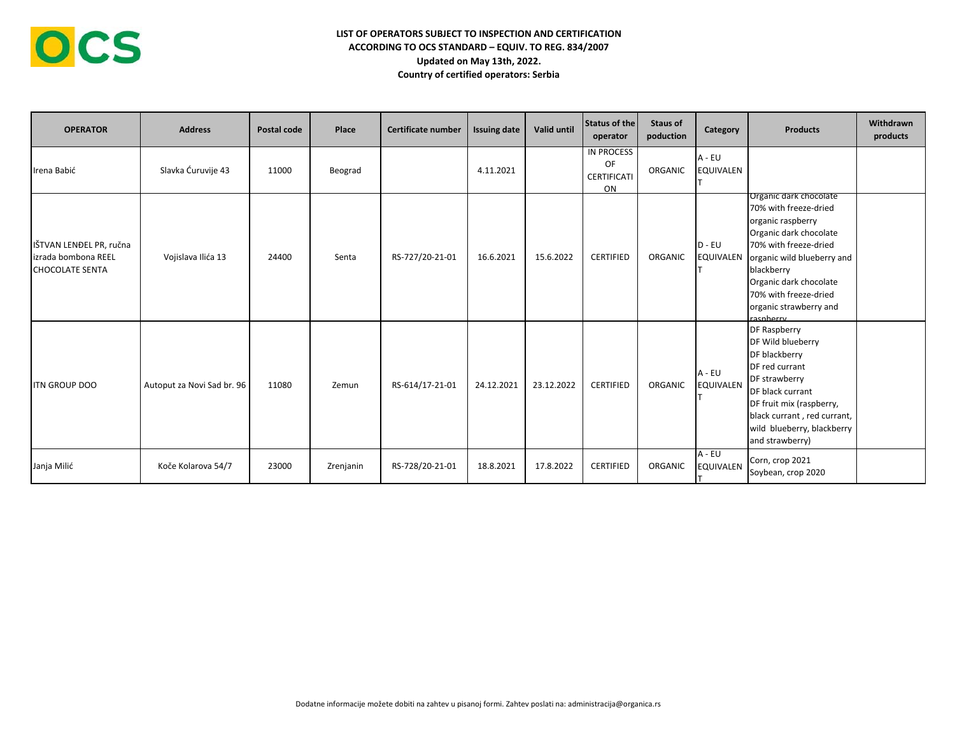| <b>OPERATOR</b>                                                           | <b>Address</b>             | Postal code | Place     | <b>Certificate number</b> | <b>Issuing date</b> | Valid until | <b>Status of the</b><br>operator      | Staus of<br>poduction | Category                     | <b>Products</b>                                                                                                                                                                                                                                               | Withdrawn<br>products |
|---------------------------------------------------------------------------|----------------------------|-------------|-----------|---------------------------|---------------------|-------------|---------------------------------------|-----------------------|------------------------------|---------------------------------------------------------------------------------------------------------------------------------------------------------------------------------------------------------------------------------------------------------------|-----------------------|
| Irena Babić                                                               | Slavka Ćuruvije 43         | 11000       | Beograd   |                           | 4.11.2021           |             | IN PROCESS<br>OF<br>CERTIFICATI<br>ON | ORGANIC               | A - EU<br><b>EQUIVALEN</b>   |                                                                                                                                                                                                                                                               |                       |
| IŠTVAN LENĐEL PR, ručna<br>lizrada bombona REEL<br><b>CHOCOLATE SENTA</b> | Vojislava Ilića 13         | 24400       | Senta     | RS-727/20-21-01           | 16.6.2021           | 15.6.2022   | <b>CERTIFIED</b>                      | ORGANIC               | $D - EU$<br><b>EQUIVALEN</b> | Organic dark chocolate<br>70% with freeze-dried<br>organic raspberry<br>Organic dark chocolate<br>70% with freeze-dried<br>organic wild blueberry and<br>blackberry<br>Organic dark chocolate<br>70% with freeze-dried<br>organic strawberry and<br>racnherry |                       |
| <b>ITN GROUP DOO</b>                                                      | Autoput za Novi Sad br. 96 | 11080       | Zemun     | RS-614/17-21-01           | 24.12.2021          | 23.12.2022  | <b>CERTIFIED</b>                      | ORGANIC               | $A - EU$<br><b>EQUIVALEN</b> | <b>DF Raspberry</b><br>DF Wild blueberry<br>DF blackberry<br>DF red currant<br>DF strawberry<br>DF black currant<br>DF fruit mix (raspberry,<br>black currant, red currant,<br>wild blueberry, blackberry<br>and strawberry)                                  |                       |
| Janja Milić                                                               | Koče Kolarova 54/7         | 23000       | Zrenjanin | RS-728/20-21-01           | 18.8.2021           | 17.8.2022   | <b>CERTIFIED</b>                      | ORGANIC               | $A - EU$<br><b>EQUIVALEN</b> | Corn, crop 2021<br>Soybean, crop 2020                                                                                                                                                                                                                         |                       |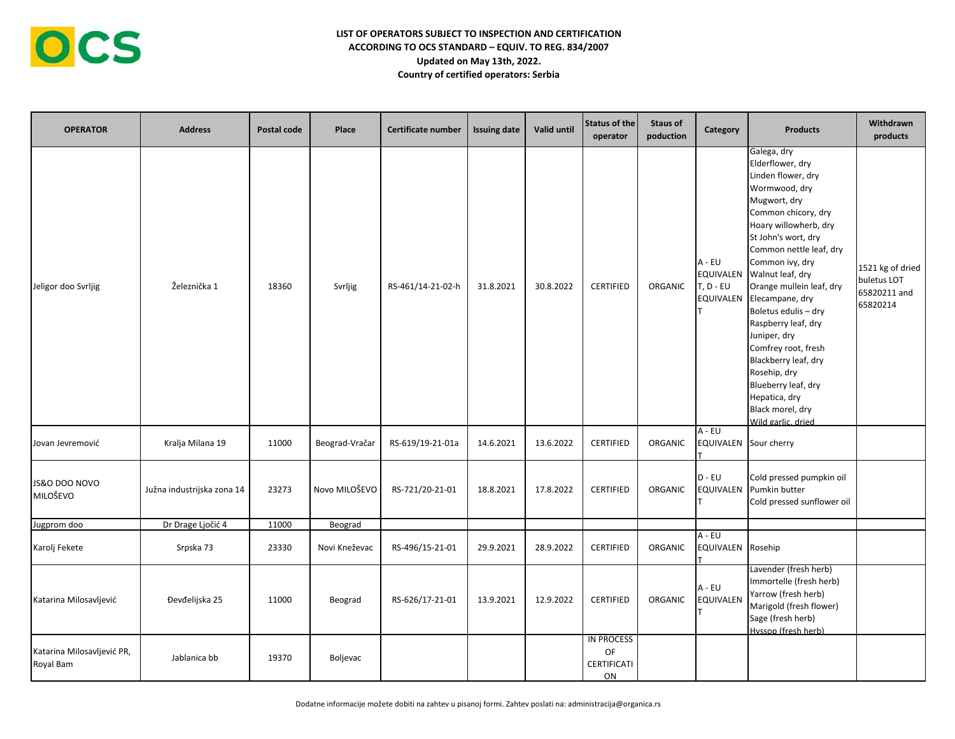| <b>OPERATOR</b>                         | <b>Address</b>             | Postal code | Place          | Certificate number | <b>Issuing date</b> | <b>Valid until</b> | Status of the<br>operator                    | <b>Staus of</b><br>poduction | Category                                                      | <b>Products</b>                                                                                                                                                                                                                                                                                                                                                                                                                                                                                | Withdrawn<br>products                                       |
|-----------------------------------------|----------------------------|-------------|----------------|--------------------|---------------------|--------------------|----------------------------------------------|------------------------------|---------------------------------------------------------------|------------------------------------------------------------------------------------------------------------------------------------------------------------------------------------------------------------------------------------------------------------------------------------------------------------------------------------------------------------------------------------------------------------------------------------------------------------------------------------------------|-------------------------------------------------------------|
| Jeligor doo Svrljig                     | Železnička 1               | 18360       | Svrljig        | RS-461/14-21-02-h  | 31.8.2021           | 30.8.2022          | <b>CERTIFIED</b>                             | ORGANIC                      | A - EU<br><b>EQUIVALEN</b><br>$T, D - EU$<br><b>EQUIVALEN</b> | Galega, dry<br>Elderflower, dry<br>Linden flower, dry<br>Wormwood, dry<br>Mugwort, dry<br>Common chicory, dry<br>Hoary willowherb, dry<br>St John's wort, dry<br>Common nettle leaf, dry<br>Common ivy, dry<br>Walnut leaf, dry<br>Orange mullein leaf, dry<br>Elecampane, dry<br>Boletus edulis - dry<br>Raspberry leaf, dry<br>Juniper, dry<br>Comfrey root, fresh<br>Blackberry leaf, dry<br>Rosehip, dry<br>Blueberry leaf, dry<br>Hepatica, dry<br>Black morel, dry<br>Wild garlic, dried | 1521 kg of dried<br>buletus LOT<br>65820211 and<br>65820214 |
| Jovan Jevremović                        | Kralja Milana 19           | 11000       | Beograd-Vračar | RS-619/19-21-01a   | 14.6.2021           | 13.6.2022          | CERTIFIED                                    | ORGANIC                      | $A - EU$<br>EQUIVALEN Sour cherry                             |                                                                                                                                                                                                                                                                                                                                                                                                                                                                                                |                                                             |
| JS&O DOO NOVO<br>MILOŠEVO               | Južna industrijska zona 14 | 23273       | Novo MILOŠEVO  | RS-721/20-21-01    | 18.8.2021           | 17.8.2022          | <b>CERTIFIED</b>                             | <b>ORGANIC</b>               | $D - EU$<br><b>EQUIVALEN</b>                                  | Cold pressed pumpkin oil<br>Pumkin butter<br>Cold pressed sunflower oil                                                                                                                                                                                                                                                                                                                                                                                                                        |                                                             |
| Jugprom doo                             | Dr Drage Ljočić 4          | 11000       | Beograd        |                    |                     |                    |                                              |                              |                                                               |                                                                                                                                                                                                                                                                                                                                                                                                                                                                                                |                                                             |
| Karolj Fekete                           | Srpska 73                  | 23330       | Novi Kneževac  | RS-496/15-21-01    | 29.9.2021           | 28.9.2022          | <b>CERTIFIED</b>                             | ORGANIC                      | $A - EU$<br>EQUIVALEN Rosehip                                 |                                                                                                                                                                                                                                                                                                                                                                                                                                                                                                |                                                             |
| Katarina Milosavljević                  | Đevđelijska 25             | 11000       | Beograd        | RS-626/17-21-01    | 13.9.2021           | 12.9.2022          | <b>CERTIFIED</b>                             | ORGANIC                      | $A - EU$<br><b>EQUIVALEN</b>                                  | Lavender (fresh herb)<br>Immortelle (fresh herb)<br>Yarrow (fresh herb)<br>Marigold (fresh flower)<br>Sage (fresh herb)<br>Hyssop (fresh herb)                                                                                                                                                                                                                                                                                                                                                 |                                                             |
| Katarina Milosavljević PR,<br>Royal Bam | Jablanica bb               | 19370       | Boljevac       |                    |                     |                    | <b>IN PROCESS</b><br>OF<br>CERTIFICATI<br>ON |                              |                                                               |                                                                                                                                                                                                                                                                                                                                                                                                                                                                                                |                                                             |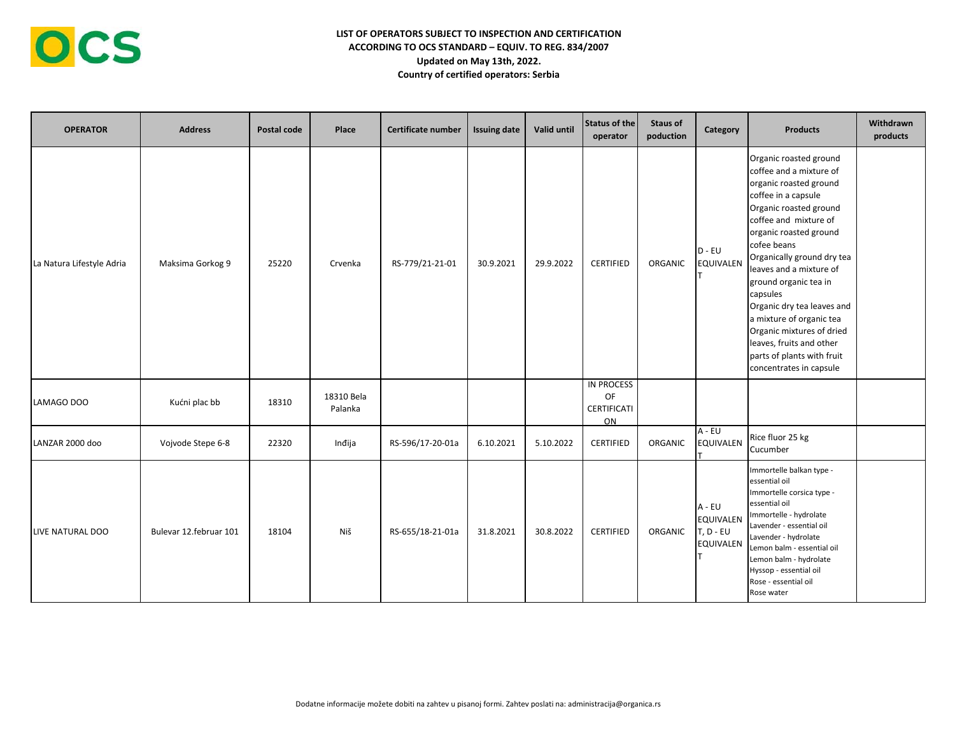

| <b>OPERATOR</b>           | <b>Address</b>         | Postal code | Place                 | Certificate number | <b>Issuing date</b> | Valid until | Status of the<br>operator                    | <b>Staus of</b><br>poduction | Category                                               | <b>Products</b>                                                                                                                                                                                                                                                                                                                                                                                                                                                          | Withdrawn<br>products |
|---------------------------|------------------------|-------------|-----------------------|--------------------|---------------------|-------------|----------------------------------------------|------------------------------|--------------------------------------------------------|--------------------------------------------------------------------------------------------------------------------------------------------------------------------------------------------------------------------------------------------------------------------------------------------------------------------------------------------------------------------------------------------------------------------------------------------------------------------------|-----------------------|
| La Natura Lifestyle Adria | Maksima Gorkog 9       | 25220       | Crvenka               | RS-779/21-21-01    | 30.9.2021           | 29.9.2022   | <b>CERTIFIED</b>                             | ORGANIC                      | $D - EU$<br><b>EQUIVALEN</b>                           | Organic roasted ground<br>coffee and a mixture of<br>organic roasted ground<br>coffee in a capsule<br>Organic roasted ground<br>coffee and mixture of<br>organic roasted ground<br>cofee beans<br>Organically ground dry tea<br>leaves and a mixture of<br>ground organic tea in<br>capsules<br>Organic dry tea leaves and<br>a mixture of organic tea<br>Organic mixtures of dried<br>leaves, fruits and other<br>parts of plants with fruit<br>concentrates in capsule |                       |
| LAMAGO DOO                | Kućni plac bb          | 18310       | 18310 Bela<br>Palanka |                    |                     |             | <b>IN PROCESS</b><br>OF<br>CERTIFICATI<br>ON |                              |                                                        |                                                                                                                                                                                                                                                                                                                                                                                                                                                                          |                       |
| LANZAR 2000 doo           | Vojvode Stepe 6-8      | 22320       | Inđija                | RS-596/17-20-01a   | 6.10.2021           | 5.10.2022   | <b>CERTIFIED</b>                             | ORGANIC                      | $A - EU$<br><b>EQUIVALEN</b>                           | Rice fluor 25 kg<br>Cucumber                                                                                                                                                                                                                                                                                                                                                                                                                                             |                       |
| LIVE NATURAL DOO          | Bulevar 12.februar 101 | 18104       | Niš                   | RS-655/18-21-01a   | 31.8.2021           | 30.8.2022   | <b>CERTIFIED</b>                             | ORGANIC                      | A - EU<br>EQUIVALEN<br>$T, D - EU$<br><b>EQUIVALEN</b> | Immortelle balkan type -<br>essential oil<br>Immortelle corsica type -<br>essential oil<br>Immortelle - hydrolate<br>Lavender - essential oil<br>Lavender - hydrolate<br>Lemon balm - essential oil<br>Lemon balm - hydrolate<br>Hyssop - essential oil<br>Rose - essential oil<br>Rose water                                                                                                                                                                            |                       |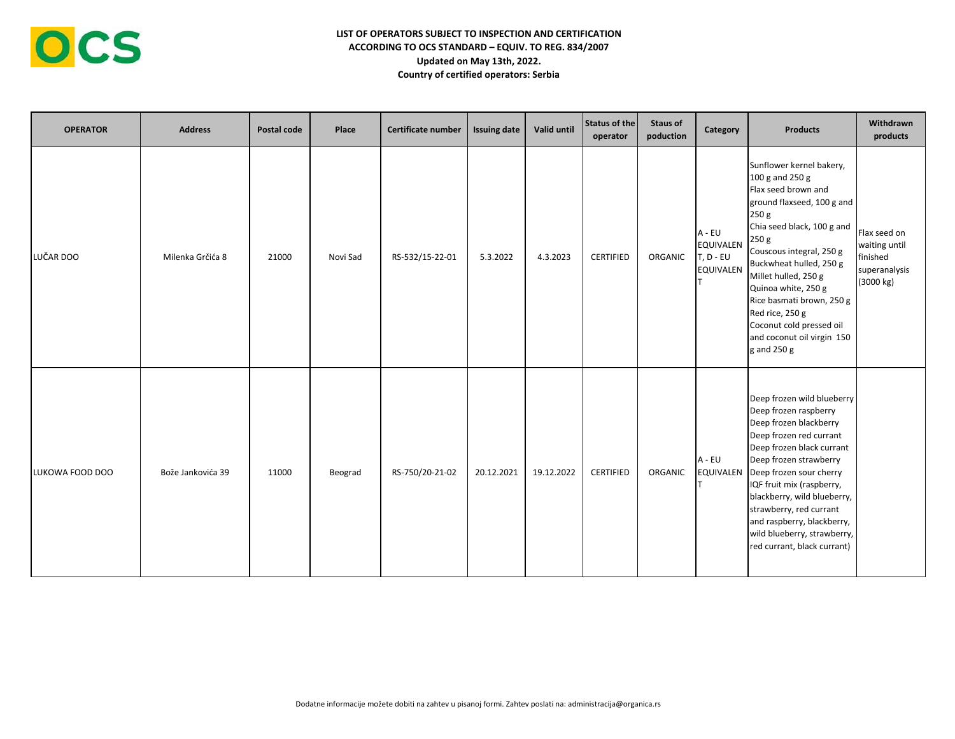

| <b>OPERATOR</b> | <b>Address</b>    | Postal code | Place    | Certificate number | <b>Issuing date</b> | Valid until | Status of the<br>operator | <b>Staus of</b><br>poduction | Category                                                      | <b>Products</b>                                                                                                                                                                                                                                                                                                                                                                 | Withdrawn<br>products                                                   |
|-----------------|-------------------|-------------|----------|--------------------|---------------------|-------------|---------------------------|------------------------------|---------------------------------------------------------------|---------------------------------------------------------------------------------------------------------------------------------------------------------------------------------------------------------------------------------------------------------------------------------------------------------------------------------------------------------------------------------|-------------------------------------------------------------------------|
| LUČAR DOO       | Milenka Grčića 8  | 21000       | Novi Sad | RS-532/15-22-01    | 5.3.2022            | 4.3.2023    | <b>CERTIFIED</b>          | ORGANIC                      | A - EU<br><b>EQUIVALEN</b><br>$T, D - EU$<br><b>EQUIVALEN</b> | Sunflower kernel bakery,<br>100 g and 250 g<br>Flax seed brown and<br>ground flaxseed, 100 g and<br>250 g<br>Chia seed black, 100 g and<br>250 g<br>Couscous integral, 250 g<br>Buckwheat hulled, 250 g<br>Millet hulled, 250 g<br>Quinoa white, 250 g<br>Rice basmati brown, 250 g<br>Red rice, 250 g<br>Coconut cold pressed oil<br>and coconut oil virgin 150<br>g and 250 g | Flax seed on<br>waiting until<br>finished<br>superanalysis<br>(3000 kg) |
| LUKOWA FOOD DOO | Bože Jankovića 39 | 11000       | Beograd  | RS-750/20-21-02    | 20.12.2021          | 19.12.2022  | <b>CERTIFIED</b>          | ORGANIC                      | A - EU<br><b>EQUIVALEN</b>                                    | Deep frozen wild blueberry<br>Deep frozen raspberry<br>Deep frozen blackberry<br>Deep frozen red currant<br>Deep frozen black currant<br>Deep frozen strawberry<br>Deep frozen sour cherry<br>IQF fruit mix (raspberry,<br>blackberry, wild blueberry,<br>strawberry, red currant<br>and raspberry, blackberry,<br>wild blueberry, strawberry,<br>red currant, black currant)   |                                                                         |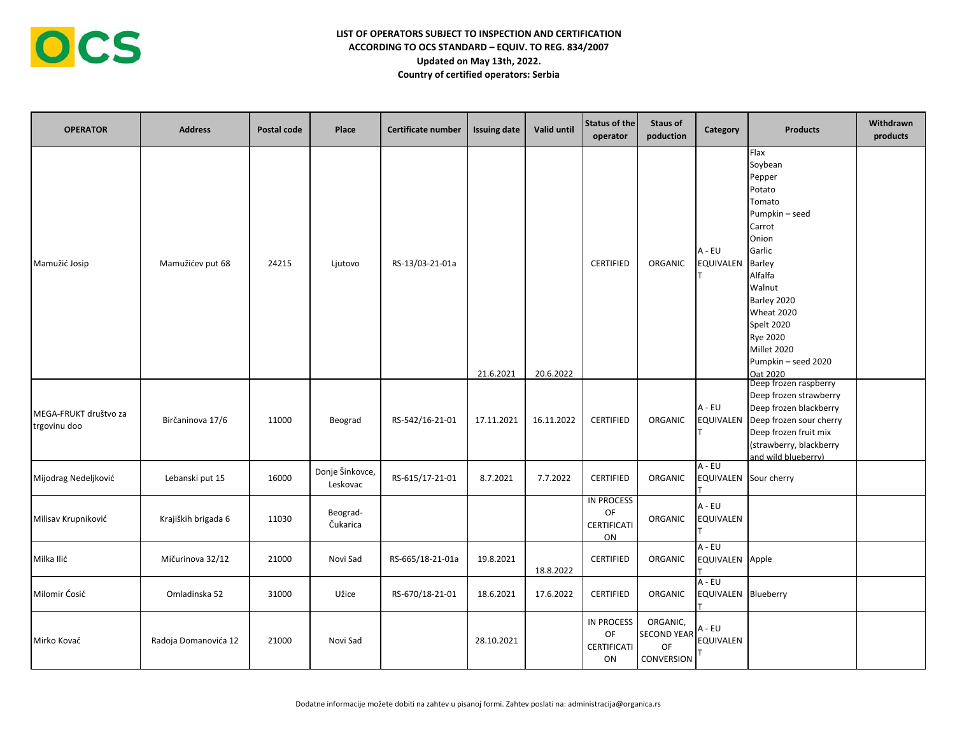| <b>OPERATOR</b>                       | <b>Address</b>       | Postal code | Place                       | Certificate number | <b>Issuing date</b> | <b>Valid until</b> | Status of the<br>operator                    | <b>Staus of</b><br>poduction                                                                                       | Category                          | <b>Products</b>                                                                                                                                                                                                                             | Withdrawn<br>products |
|---------------------------------------|----------------------|-------------|-----------------------------|--------------------|---------------------|--------------------|----------------------------------------------|--------------------------------------------------------------------------------------------------------------------|-----------------------------------|---------------------------------------------------------------------------------------------------------------------------------------------------------------------------------------------------------------------------------------------|-----------------------|
| Mamužić Josip                         | Mamužićev put 68     | 24215       | Ljutovo                     | RS-13/03-21-01a    | 21.6.2021           | 20.6.2022          | <b>CERTIFIED</b>                             | ORGANIC                                                                                                            | $A - EU$<br><b>EQUIVALEN</b>      | Flax<br>Soybean<br>Pepper<br>Potato<br>Tomato<br>Pumpkin - seed<br>Carrot<br>Onion<br>Garlic<br>Barley<br>Alfalfa<br>Walnut<br>Barley 2020<br>Wheat 2020<br>Spelt 2020<br><b>Rye 2020</b><br>Millet 2020<br>Pumpkin - seed 2020<br>Oat 2020 |                       |
| MEGA-FRUKT društvo za<br>trgovinu doo | Birčaninova 17/6     | 11000       | Beograd                     | RS-542/16-21-01    | 17.11.2021          | 16.11.2022         | <b>CERTIFIED</b>                             | ORGANIC                                                                                                            | $A - EU$<br>EQUIVALEN             | Deep frozen raspberry<br>Deep frozen strawberry<br>Deep frozen blackberry<br>Deep frozen sour cherry<br>Deep frozen fruit mix<br>(strawberry, blackberry<br>and wild blueberry)                                                             |                       |
| Mijodrag Nedeljković                  | Lebanski put 15      | 16000       | Donje Šinkovce,<br>Leskovac | RS-615/17-21-01    | 8.7.2021            | 7.7.2022           | CERTIFIED                                    | ORGANIC                                                                                                            | $A - EU$<br>EQUIVALEN Sour cherry |                                                                                                                                                                                                                                             |                       |
| Milisav Krupniković                   | Krajiških brigada 6  | 11030       | Beograd-<br>Čukarica        |                    |                     |                    | <b>IN PROCESS</b><br>OF<br>CERTIFICATI<br>ON | ORGANIC                                                                                                            | $A - EU$<br><b>EQUIVALEN</b>      |                                                                                                                                                                                                                                             |                       |
| Milka Ilić                            | Mičurinova 32/12     | 21000       | Novi Sad                    | RS-665/18-21-01a   | 19.8.2021           | 18.8.2022          | CERTIFIED                                    | ORGANIC                                                                                                            | A - EU<br>EQUIVALEN Apple         |                                                                                                                                                                                                                                             |                       |
| Milomir Ćosić                         | Omladinska 52        | 31000       | Užice                       | RS-670/18-21-01    | 18.6.2021           | 17.6.2022          | CERTIFIED                                    | ORGANIC                                                                                                            | $A - EU$<br>EQUIVALEN Blueberry   |                                                                                                                                                                                                                                             |                       |
| Mirko Kovač                           | Radoja Domanovića 12 | 21000       | Novi Sad                    |                    | 28.10.2021          |                    | <b>IN PROCESS</b><br>OF<br>CERTIFICATI<br>ON | ORGANIC,<br>SECOND YEAR $\left  \begin{smallmatrix} 1 & 0 \\ 0 & -1 \end{smallmatrix} \right $<br>OF<br>CONVERSION | <b>EQUIVALEN</b>                  |                                                                                                                                                                                                                                             |                       |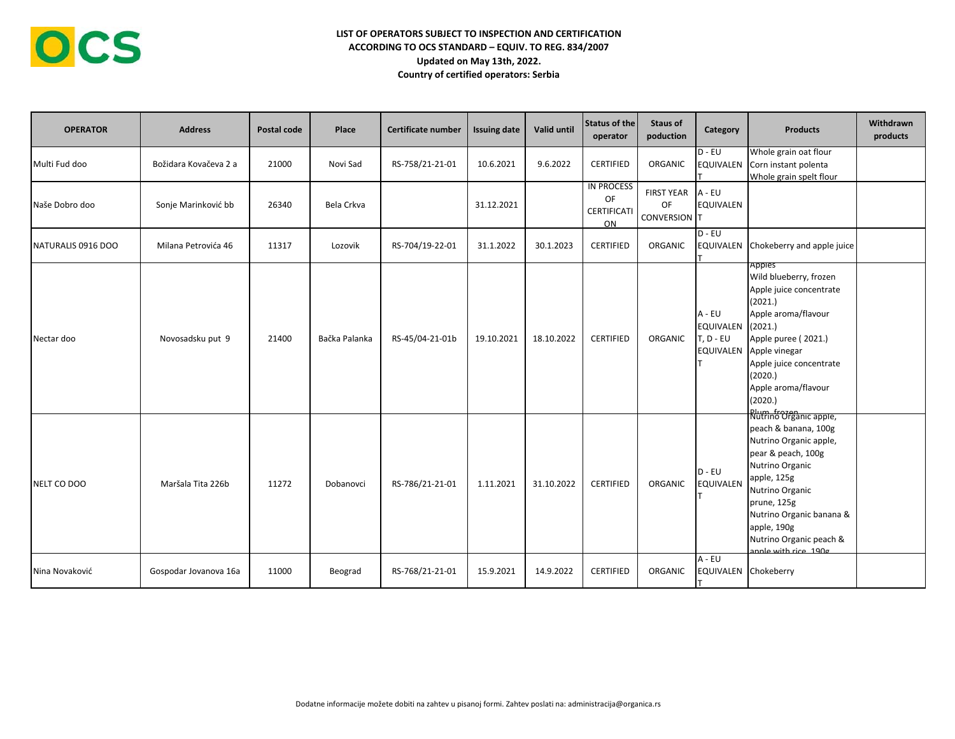| <b>OPERATOR</b>    | <b>Address</b>        | Postal code | Place         | <b>Certificate number</b> | <b>Issuing date</b> | Valid until | Status of the<br>operator                           | Staus of<br>poduction                   | Category                                     | <b>Products</b>                                                                                                                                                                                                                                                | Withdrawn<br>products |
|--------------------|-----------------------|-------------|---------------|---------------------------|---------------------|-------------|-----------------------------------------------------|-----------------------------------------|----------------------------------------------|----------------------------------------------------------------------------------------------------------------------------------------------------------------------------------------------------------------------------------------------------------------|-----------------------|
| Multi Fud doo      | Božidara Kovačeva 2 a | 21000       | Novi Sad      | RS-758/21-21-01           | 10.6.2021           | 9.6.2022    | <b>CERTIFIED</b>                                    | ORGANIC                                 | $D - EU$                                     | Whole grain oat flour<br>EQUIVALEN Corn instant polenta<br>Whole grain spelt flour                                                                                                                                                                             |                       |
| Naše Dobro doo     | Sonje Marinković bb   | 26340       | Bela Crkva    |                           | 31.12.2021          |             | <b>IN PROCESS</b><br>OF<br><b>CERTIFICATI</b><br>ON | <b>FIRST YEAR</b><br>OF<br>CONVERSION T | A - EU<br><b>EQUIVALEN</b>                   |                                                                                                                                                                                                                                                                |                       |
| NATURALIS 0916 DOO | Milana Petrovića 46   | 11317       | Lozovik       | RS-704/19-22-01           | 31.1.2022           | 30.1.2023   | <b>CERTIFIED</b>                                    | ORGANIC                                 | $D - EU$                                     | EQUIVALEN Chokeberry and apple juice                                                                                                                                                                                                                           |                       |
| Nectar doo         | Novosadsku put 9      | 21400       | Bačka Palanka | RS-45/04-21-01b           | 19.10.2021          | 18.10.2022  | <b>CERTIFIED</b>                                    | ORGANIC                                 | $A - EU$<br>EQUIVALEN (2021.)<br>$T, D - EU$ | Apples<br>Wild blueberry, frozen<br>Apple juice concentrate<br>(2021.)<br>Apple aroma/flavour<br>Apple puree (2021.)<br>EQUIVALEN Apple vinegar<br>Apple juice concentrate<br>(2020.)<br>Apple aroma/flavour<br>(2020.)                                        |                       |
| NELT CO DOO        | Maršala Tita 226b     | 11272       | Dobanovci     | RS-786/21-21-01           | 1.11.2021           | 31.10.2022  | <b>CERTIFIED</b>                                    | ORGANIC                                 | $D - EU$<br><b>EQUIVALEN</b>                 | Blum fromanic apple,<br>peach & banana, 100g<br>Nutrino Organic apple,<br>pear & peach, 100g<br>Nutrino Organic<br>apple, 125g<br>Nutrino Organic<br>prune, 125g<br>Nutrino Organic banana &<br>apple, 190g<br>Nutrino Organic peach &<br>annle with rice 190g |                       |
| Nina Novaković     | Gospodar Jovanova 16a | 11000       | Beograd       | RS-768/21-21-01           | 15.9.2021           | 14.9.2022   | <b>CERTIFIED</b>                                    | ORGANIC                                 | A - EU<br>EQUIVALEN Chokeberry               |                                                                                                                                                                                                                                                                |                       |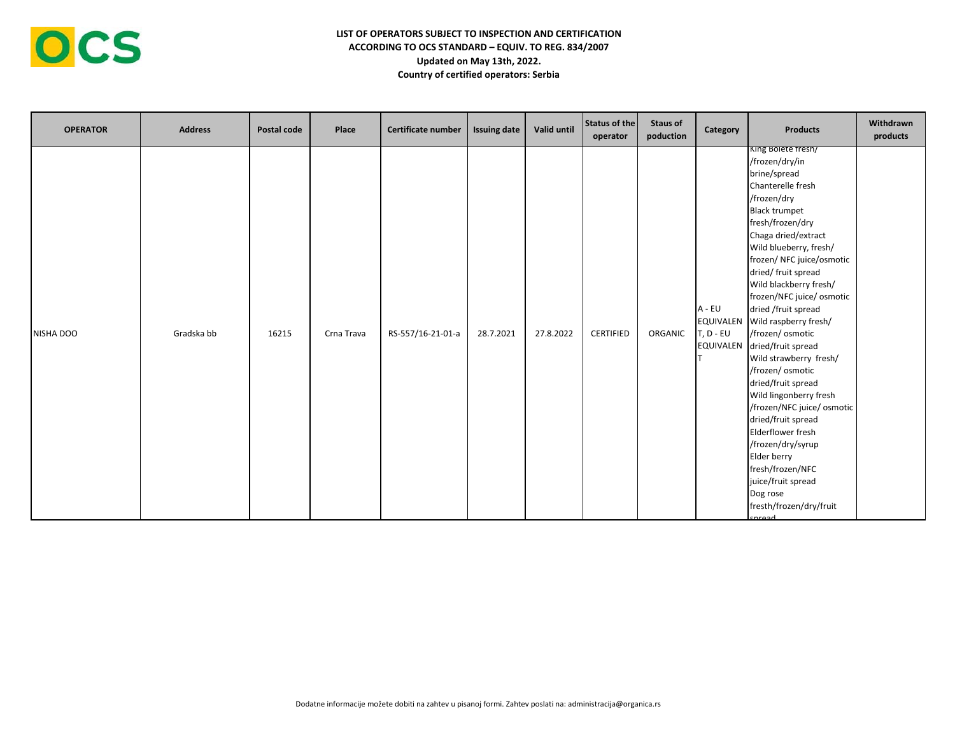

| <b>OPERATOR</b> | <b>Address</b> | Postal code | Place      | <b>Certificate number</b> | <b>Issuing date</b> | Valid until | Status of the<br>operator | <b>Staus of</b><br>poduction | Category                                                      | <b>Products</b>                                                                                                                                                                                                                                                                                                                                                                                                                                                                                                                                                                                                                                                                                  | Withdrawn<br>products |
|-----------------|----------------|-------------|------------|---------------------------|---------------------|-------------|---------------------------|------------------------------|---------------------------------------------------------------|--------------------------------------------------------------------------------------------------------------------------------------------------------------------------------------------------------------------------------------------------------------------------------------------------------------------------------------------------------------------------------------------------------------------------------------------------------------------------------------------------------------------------------------------------------------------------------------------------------------------------------------------------------------------------------------------------|-----------------------|
| NISHA DOO       | Gradska bb     | 16215       | Crna Trava | RS-557/16-21-01-a         | 28.7.2021           | 27.8.2022   | <b>CERTIFIED</b>          | ORGANIC                      | A - EU<br><b>EQUIVALEN</b><br>$T, D - EU$<br><b>EQUIVALEN</b> | King Bolete fresh/<br>/frozen/dry/in<br>brine/spread<br>Chanterelle fresh<br>/frozen/dry<br><b>Black trumpet</b><br>fresh/frozen/dry<br>Chaga dried/extract<br>Wild blueberry, fresh/<br>frozen/ NFC juice/osmotic<br>dried/ fruit spread<br>Wild blackberry fresh/<br>frozen/NFC juice/ osmotic<br>dried /fruit spread<br>Wild raspberry fresh/<br>/frozen/ osmotic<br>dried/fruit spread<br>Wild strawberry fresh/<br>/frozen/ osmotic<br>dried/fruit spread<br>Wild lingonberry fresh<br>/frozen/NFC juice/ osmotic<br>dried/fruit spread<br>Elderflower fresh<br>/frozen/dry/syrup<br>Elder berry<br>fresh/frozen/NFC<br>juice/fruit spread<br>Dog rose<br>fresth/frozen/dry/fruit<br>corpad |                       |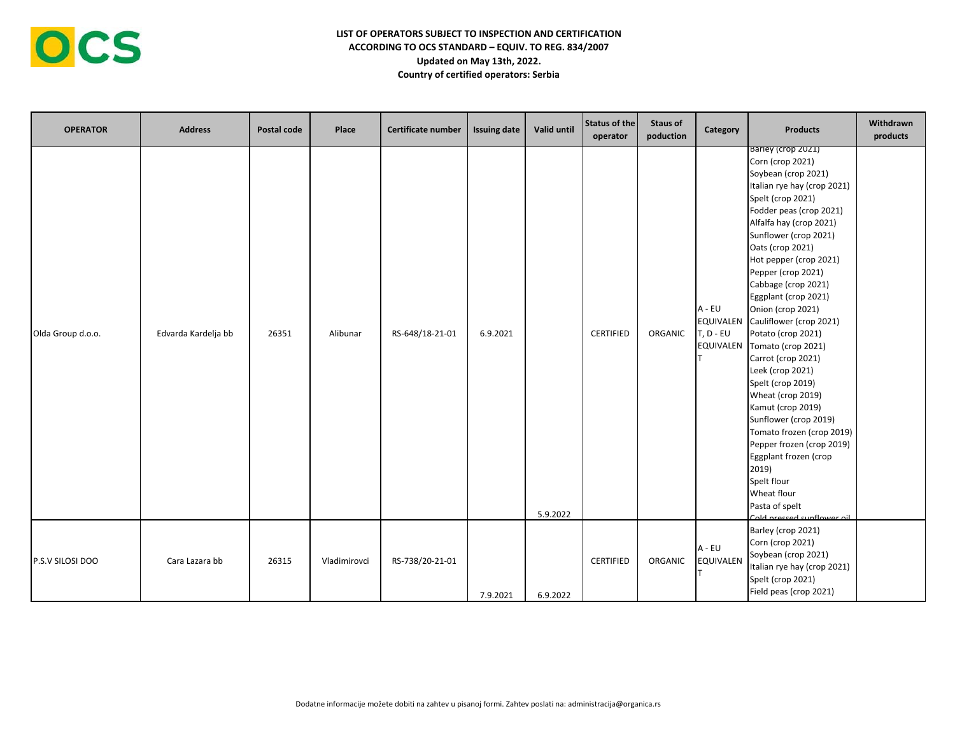

| <b>OPERATOR</b>   | <b>Address</b>      | Postal code | Place        | Certificate number | <b>Issuing date</b> | Valid until | Status of the<br>operator | <b>Staus of</b><br>poduction | Category                                                      | <b>Products</b>                                                                                                                                                                                                                                                                                                                                                                                                                                                                                                                                                                                                                                                                                                             | Withdrawn<br>products |
|-------------------|---------------------|-------------|--------------|--------------------|---------------------|-------------|---------------------------|------------------------------|---------------------------------------------------------------|-----------------------------------------------------------------------------------------------------------------------------------------------------------------------------------------------------------------------------------------------------------------------------------------------------------------------------------------------------------------------------------------------------------------------------------------------------------------------------------------------------------------------------------------------------------------------------------------------------------------------------------------------------------------------------------------------------------------------------|-----------------------|
| Olda Group d.o.o. | Edvarda Kardelja bb | 26351       | Alibunar     | RS-648/18-21-01    | 6.9.2021            | 5.9.2022    | <b>CERTIFIED</b>          | ORGANIC                      | A - EU<br><b>EQUIVALEN</b><br>$T, D - EU$<br><b>EQUIVALEN</b> | Barley (crop 2021)<br>Corn (crop 2021)<br>Soybean (crop 2021)<br>Italian rye hay (crop 2021)<br>Spelt (crop 2021)<br>Fodder peas (crop 2021)<br>Alfalfa hay (crop 2021)<br>Sunflower (crop 2021)<br>Oats (crop 2021)<br>Hot pepper (crop 2021)<br>Pepper (crop 2021)<br>Cabbage (crop 2021)<br>Eggplant (crop 2021)<br>Onion (crop 2021)<br>Cauliflower (crop 2021)<br>Potato (crop 2021)<br>Tomato (crop 2021)<br>Carrot (crop 2021)<br>Leek (crop 2021)<br>Spelt (crop 2019)<br>Wheat (crop 2019)<br>Kamut (crop 2019)<br>Sunflower (crop 2019)<br>Tomato frozen (crop 2019)<br>Pepper frozen (crop 2019)<br>Eggplant frozen (crop<br>2019)<br>Spelt flour<br>Wheat flour<br>Pasta of spelt<br>Cold proccod cunflower oil |                       |
| P.S.V SILOSI DOO  | Cara Lazara bb      | 26315       | Vladimirovci | RS-738/20-21-01    | 7.9.2021            | 6.9.2022    | <b>CERTIFIED</b>          | ORGANIC                      | $A - EU$<br><b>EQUIVALEN</b>                                  | Barley (crop 2021)<br>Corn (crop 2021)<br>Soybean (crop 2021)<br>Italian rye hay (crop 2021)<br>Spelt (crop 2021)<br>Field peas (crop 2021)                                                                                                                                                                                                                                                                                                                                                                                                                                                                                                                                                                                 |                       |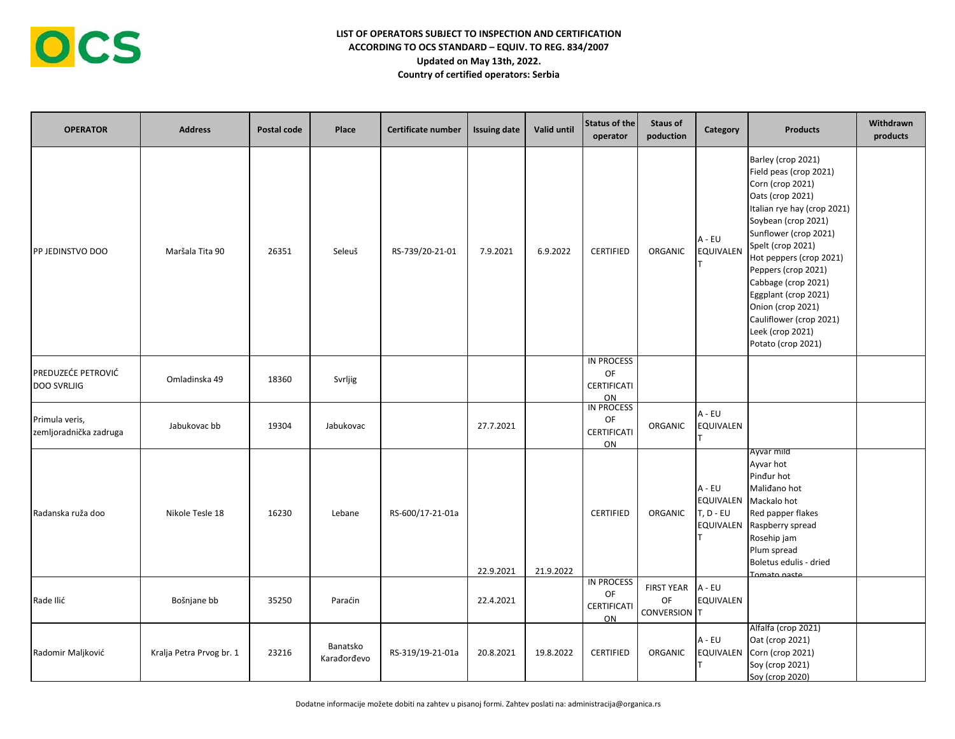| <b>OPERATOR</b>                          | <b>Address</b>           | Postal code | Place                   | Certificate number | <b>Issuing date</b> | Valid until | Status of the<br>operator                           | <b>Staus of</b><br>poduction            | Category                                      | <b>Products</b>                                                                                                                                                                                                                                                                                                                                                                     | Withdrawn<br>products |
|------------------------------------------|--------------------------|-------------|-------------------------|--------------------|---------------------|-------------|-----------------------------------------------------|-----------------------------------------|-----------------------------------------------|-------------------------------------------------------------------------------------------------------------------------------------------------------------------------------------------------------------------------------------------------------------------------------------------------------------------------------------------------------------------------------------|-----------------------|
| PP JEDINSTVO DOO                         | Maršala Tita 90          | 26351       | Seleuš                  | RS-739/20-21-01    | 7.9.2021            | 6.9.2022    | <b>CERTIFIED</b>                                    | ORGANIC                                 | $A - EU$<br>EQUIVALEN                         | Barley (crop 2021)<br>Field peas (crop 2021)<br>Corn (crop 2021)<br>Oats (crop 2021)<br>Italian rye hay (crop 2021)<br>Soybean (crop 2021)<br>Sunflower (crop 2021)<br>Spelt (crop 2021)<br>Hot peppers (crop 2021)<br>Peppers (crop 2021)<br>Cabbage (crop 2021)<br>Eggplant (crop 2021)<br>Onion (crop 2021)<br>Cauliflower (crop 2021)<br>Leek (crop 2021)<br>Potato (crop 2021) |                       |
| PREDUZEĆE PETROVIĆ<br><b>DOO SVRLJIG</b> | Omladinska 49            | 18360       | Svrljig                 |                    |                     |             | <b>IN PROCESS</b><br>OF<br><b>CERTIFICATI</b><br>ON |                                         |                                               |                                                                                                                                                                                                                                                                                                                                                                                     |                       |
| Primula veris,<br>zemljoradnička zadruga | Jabukovac bb             | 19304       | Jabukovac               |                    | 27.7.2021           |             | IN PROCESS<br>OF<br>CERTIFICATI<br>ON               | ORGANIC                                 | A - EU<br>EQUIVALEN                           |                                                                                                                                                                                                                                                                                                                                                                                     |                       |
| Radanska ruža doo                        | Nikole Tesle 18          | 16230       | Lebane                  | RS-600/17-21-01a   | 22.9.2021           | 21.9.2022   | <b>CERTIFIED</b>                                    | <b>ORGANIC</b>                          | A - EU<br>EQUIVALEN<br>T, D - EU<br>EQUIVALEN | Ayvar mild<br>Ayvar hot<br>Pinđur hot<br>Malidano hot<br>Mackalo hot<br>Red papper flakes<br>Raspberry spread<br>Rosehip jam<br>Plum spread<br>Boletus edulis - dried<br>Tomato naste                                                                                                                                                                                               |                       |
| Rade Ilić                                | Bošnjane bb              | 35250       | Paraćin                 |                    | 22.4.2021           |             | <b>IN PROCESS</b><br>OF<br>CERTIFICATI<br>ON        | <b>FIRST YEAR</b><br>OF<br>CONVERSION T | A - EU<br>EQUIVALEN                           |                                                                                                                                                                                                                                                                                                                                                                                     |                       |
| Radomir Maljković                        | Kralja Petra Prvog br. 1 | 23216       | Banatsko<br>Karađorđevo | RS-319/19-21-01a   | 20.8.2021           | 19.8.2022   | <b>CERTIFIED</b>                                    | ORGANIC                                 | A - EU<br><b>EQUIVALEN</b>                    | Alfalfa (crop 2021)<br>Oat (crop 2021)<br>Corn (crop 2021)<br>Soy (crop 2021)<br>Soy (crop 2020)                                                                                                                                                                                                                                                                                    |                       |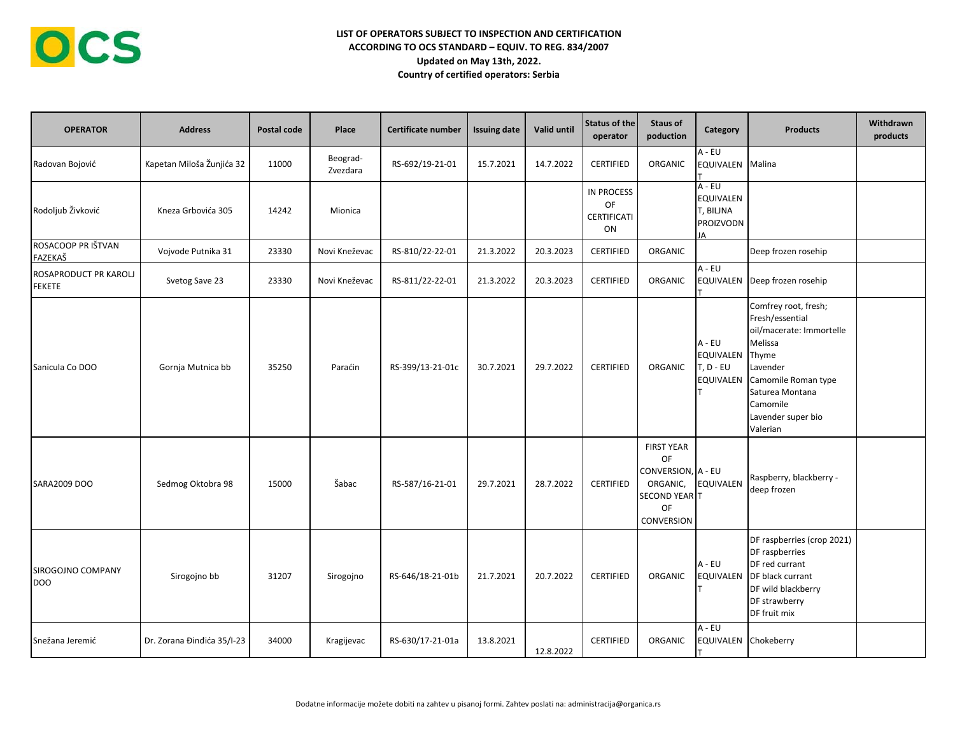| <b>OPERATOR</b>                        | <b>Address</b>             | Postal code | Place                | <b>Certificate number</b> | <b>Issuing date</b> | Valid until | Status of the<br>operator                           | Staus of<br>poduction                                                                                               | Category                                            | <b>Products</b>                                                                                                                                                                             | Withdrawn<br>products |
|----------------------------------------|----------------------------|-------------|----------------------|---------------------------|---------------------|-------------|-----------------------------------------------------|---------------------------------------------------------------------------------------------------------------------|-----------------------------------------------------|---------------------------------------------------------------------------------------------------------------------------------------------------------------------------------------------|-----------------------|
| Radovan Bojović                        | Kapetan Miloša Žunjića 32  | 11000       | Beograd-<br>Zvezdara | RS-692/19-21-01           | 15.7.2021           | 14.7.2022   | <b>CERTIFIED</b>                                    | ORGANIC                                                                                                             | $A - EU$<br>EQUIVALEN Malina                        |                                                                                                                                                                                             |                       |
| Rodoljub Živković                      | Kneza Grbovića 305         | 14242       | Mionica              |                           |                     |             | <b>IN PROCESS</b><br><b>OF</b><br>CERTIFICATI<br>ON |                                                                                                                     | A - EU<br>EQUIVALEN<br>T, BILJNA<br>PROIZVODN<br>JA |                                                                                                                                                                                             |                       |
| ROSACOOP PR IŠTVAN<br>FAZEKAŠ          | Vojvode Putnika 31         | 23330       | Novi Kneževac        | RS-810/22-22-01           | 21.3.2022           | 20.3.2023   | <b>CERTIFIED</b>                                    | ORGANIC                                                                                                             |                                                     | Deep frozen rosehip                                                                                                                                                                         |                       |
| ROSAPRODUCT PR KAROLJ<br><b>FEKETE</b> | Svetog Save 23             | 23330       | Novi Kneževac        | RS-811/22-22-01           | 21.3.2022           | 20.3.2023   | <b>CERTIFIED</b>                                    | ORGANIC                                                                                                             | $A - EU$                                            | EQUIVALEN Deep frozen rosehip                                                                                                                                                               |                       |
| Sanicula Co DOO                        | Gornja Mutnica bb          | 35250       | Paraćin              | RS-399/13-21-01c          | 30.7.2021           | 29.7.2022   | <b>CERTIFIED</b>                                    | ORGANIC                                                                                                             | A - EU<br>EQUIVALEN<br>$T, D - EU$<br>EQUIVALEN     | Comfrey root, fresh;<br>Fresh/essential<br>oil/macerate: Immortelle<br>Melissa<br>Thyme<br>Lavender<br>Camomile Roman type<br>Saturea Montana<br>Camomile<br>Lavender super bio<br>Valerian |                       |
| SARA2009 DOO                           | Sedmog Oktobra 98          | 15000       | Šabac                | RS-587/16-21-01           | 29.7.2021           | 28.7.2022   | <b>CERTIFIED</b>                                    | <b>FIRST YEAR</b><br><b>OF</b><br>CONVERSION, A - EU<br>ORGANIC,<br><b>SECOND YEAR T</b><br>OF<br><b>CONVERSION</b> | <b>EQUIVALEN</b>                                    | Raspberry, blackberry -<br>deep frozen                                                                                                                                                      |                       |
| SIROGOJNO COMPANY<br><b>DOO</b>        | Sirogojno bb               | 31207       | Sirogojno            | RS-646/18-21-01b          | 21.7.2021           | 20.7.2022   | <b>CERTIFIED</b>                                    | ORGANIC                                                                                                             | A - EU<br>EQUIVALEN                                 | DF raspberries (crop 2021)<br>DF raspberries<br>DF red currant<br>DF black currant<br>DF wild blackberry<br>DF strawberry<br>DF fruit mix                                                   |                       |
| Snežana Jeremić                        | Dr. Zorana Đinđića 35/I-23 | 34000       | Kragijevac           | RS-630/17-21-01a          | 13.8.2021           | 12.8.2022   | <b>CERTIFIED</b>                                    | ORGANIC                                                                                                             | A - EU<br>EQUIVALEN Chokeberry                      |                                                                                                                                                                                             |                       |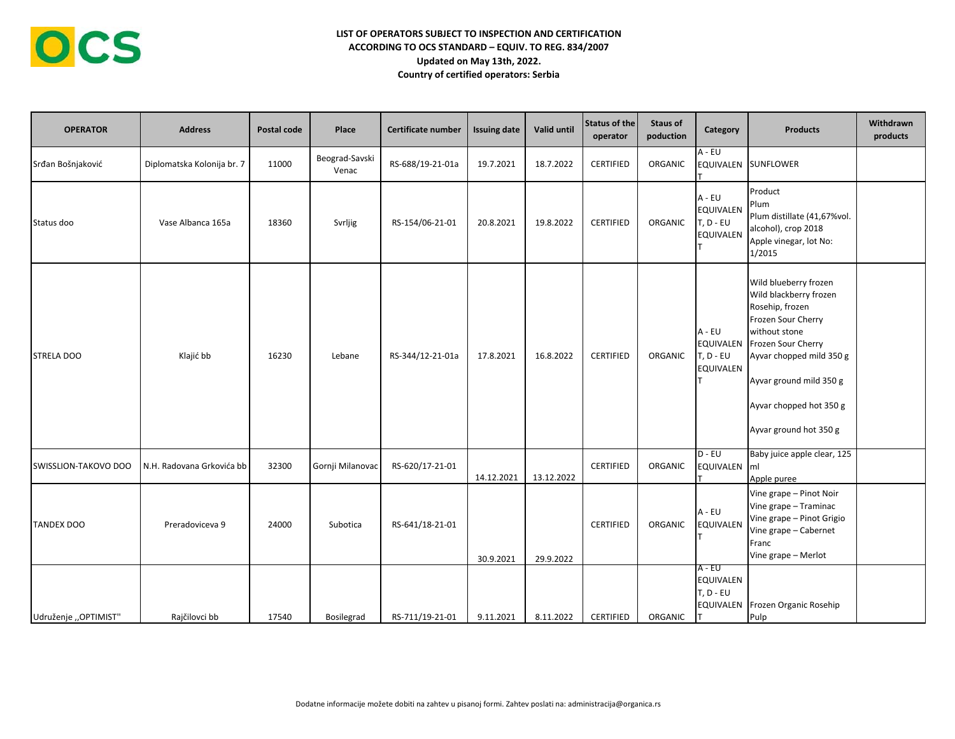| <b>OPERATOR</b>      | <b>Address</b>             | Postal code | Place                   | Certificate number | <b>Issuing date</b> | Valid until | Status of the<br>operator | Staus of<br>poduction | Category                                                 | <b>Products</b>                                                                                                                                                                                                                                       | Withdrawn<br>products |
|----------------------|----------------------------|-------------|-------------------------|--------------------|---------------------|-------------|---------------------------|-----------------------|----------------------------------------------------------|-------------------------------------------------------------------------------------------------------------------------------------------------------------------------------------------------------------------------------------------------------|-----------------------|
| Srđan Bošnjaković    | Diplomatska Kolonija br. 7 | 11000       | Beograd-Savski<br>Venac | RS-688/19-21-01a   | 19.7.2021           | 18.7.2022   | <b>CERTIFIED</b>          | ORGANIC               | $A - EU$                                                 | EQUIVALEN SUNFLOWER                                                                                                                                                                                                                                   |                       |
| Status doo           | Vase Albanca 165a          | 18360       | Svrljig                 | RS-154/06-21-01    | 20.8.2021           | 19.8.2022   | <b>CERTIFIED</b>          | ORGANIC               | $A - EU$<br>EQUIVALEN<br>$T, D - EU$<br><b>EQUIVALEN</b> | Product<br>Plum<br>Plum distillate (41,67%vol.<br>alcohol), crop 2018<br>Apple vinegar, lot No:<br>1/2015                                                                                                                                             |                       |
| <b>STRELA DOO</b>    | Klajić bb                  | 16230       | Lebane                  | RS-344/12-21-01a   | 17.8.2021           | 16.8.2022   | <b>CERTIFIED</b>          | ORGANIC               | A - EU<br>$T, D - EU$<br><b>EQUIVALEN</b>                | Wild blueberry frozen<br>Wild blackberry frozen<br>Rosehip, frozen<br>Frozen Sour Cherry<br>without stone<br>EQUIVALEN Frozen Sour Cherry<br>Ayvar chopped mild 350 g<br>Ayvar ground mild 350 g<br>Ayvar chopped hot 350 g<br>Ayvar ground hot 350 g |                       |
| SWISSLION-TAKOVO DOO | N.H. Radovana Grkovića bb  | 32300       | Gornji Milanovac        | RS-620/17-21-01    | 14.12.2021          | 13.12.2022  | <b>CERTIFIED</b>          | ORGANIC               | $D - EU$<br>EQUIVALEN ml                                 | Baby juice apple clear, 125<br>Apple puree                                                                                                                                                                                                            |                       |
| <b>TANDEX DOO</b>    | Preradoviceva 9            | 24000       | Subotica                | RS-641/18-21-01    | 30.9.2021           | 29.9.2022   | <b>CERTIFIED</b>          | ORGANIC               | A - EU<br>EQUIVALEN                                      | Vine grape - Pinot Noir<br>Vine grape - Traminac<br>Vine grape - Pinot Grigio<br>Vine grape - Cabernet<br>Franc<br>Vine grape - Merlot                                                                                                                |                       |
| Udruženje "OPTIMIST" | Rajčilovci bb              | 17540       | <b>Bosilegrad</b>       | RS-711/19-21-01    | 9.11.2021           | 8.11.2022   | <b>CERTIFIED</b>          | ORGANIC               | A - EU<br>EQUIVALEN<br>$T, D - EU$                       | EQUIVALEN Frozen Organic Rosehip<br>Pulp                                                                                                                                                                                                              |                       |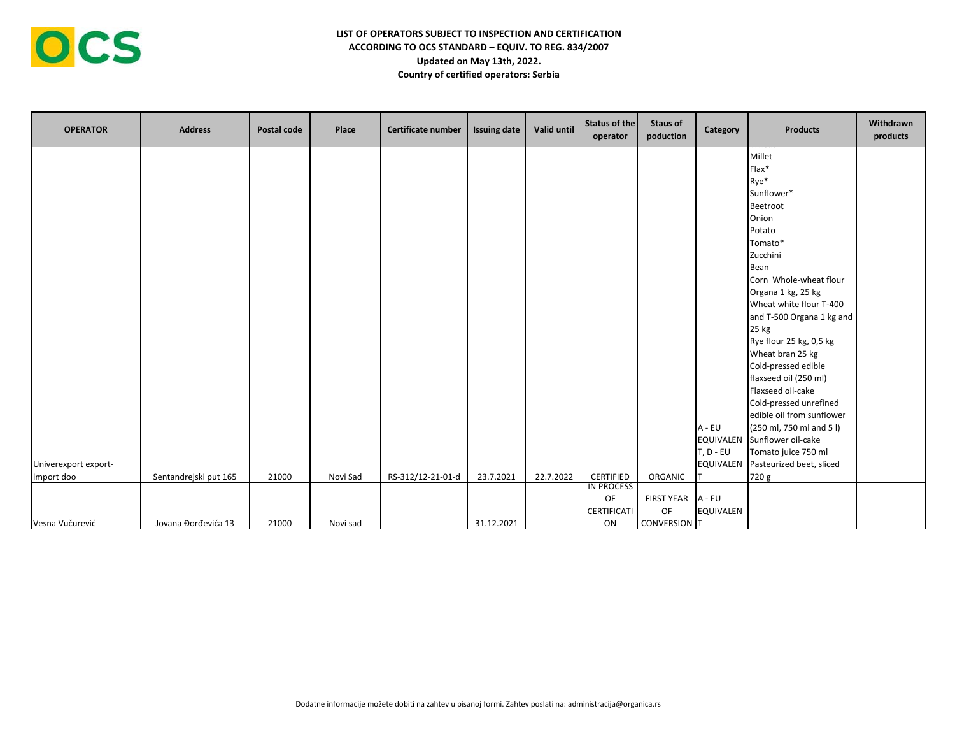| <b>OPERATOR</b>                    | <b>Address</b>        | Postal code | Place    | Certificate number | <b>Issuing date</b> | Valid until | <b>Status of the</b><br>operator | <b>Staus of</b><br>poduction | Category                 | <b>Products</b>                               | Withdrawn<br>products |
|------------------------------------|-----------------------|-------------|----------|--------------------|---------------------|-------------|----------------------------------|------------------------------|--------------------------|-----------------------------------------------|-----------------------|
|                                    |                       |             |          |                    |                     |             |                                  |                              |                          | Millet<br>Flax*                               |                       |
|                                    |                       |             |          |                    |                     |             |                                  |                              |                          | Rye*                                          |                       |
|                                    |                       |             |          |                    |                     |             |                                  |                              |                          | Sunflower*                                    |                       |
|                                    |                       |             |          |                    |                     |             |                                  |                              |                          | Beetroot                                      |                       |
|                                    |                       |             |          |                    |                     |             |                                  |                              |                          | Onion                                         |                       |
|                                    |                       |             |          |                    |                     |             |                                  |                              |                          | Potato                                        |                       |
|                                    |                       |             |          |                    |                     |             |                                  |                              |                          | Tomato*                                       |                       |
|                                    |                       |             |          |                    |                     |             |                                  |                              |                          | Zucchini                                      |                       |
|                                    |                       |             |          |                    |                     |             |                                  |                              |                          | Bean                                          |                       |
|                                    |                       |             |          |                    |                     |             |                                  |                              |                          | Corn Whole-wheat flour                        |                       |
|                                    |                       |             |          |                    |                     |             |                                  |                              |                          | Organa 1 kg, 25 kg<br>Wheat white flour T-400 |                       |
|                                    |                       |             |          |                    |                     |             |                                  |                              |                          | and T-500 Organa 1 kg and                     |                       |
|                                    |                       |             |          |                    |                     |             |                                  |                              |                          | 25 kg                                         |                       |
|                                    |                       |             |          |                    |                     |             |                                  |                              |                          | Rye flour 25 kg, 0,5 kg                       |                       |
|                                    |                       |             |          |                    |                     |             |                                  |                              |                          | Wheat bran 25 kg                              |                       |
|                                    |                       |             |          |                    |                     |             |                                  |                              |                          | Cold-pressed edible                           |                       |
|                                    |                       |             |          |                    |                     |             |                                  |                              |                          | flaxseed oil (250 ml)                         |                       |
|                                    |                       |             |          |                    |                     |             |                                  |                              |                          | Flaxseed oil-cake                             |                       |
|                                    |                       |             |          |                    |                     |             |                                  |                              |                          | Cold-pressed unrefined                        |                       |
|                                    |                       |             |          |                    |                     |             |                                  |                              |                          | edible oil from sunflower                     |                       |
|                                    |                       |             |          |                    |                     |             |                                  |                              | A - EU                   | (250 ml, 750 ml and 5 l)                      |                       |
|                                    |                       |             |          |                    |                     |             |                                  |                              |                          | EQUIVALEN Sunflower oil-cake                  |                       |
|                                    |                       |             |          |                    |                     |             |                                  |                              | $T, D - EU$<br>EQUIVALEN | Tomato juice 750 ml                           |                       |
| Univerexport export-<br>import doo | Sentandrejski put 165 | 21000       | Novi Sad | RS-312/12-21-01-d  | 23.7.2021           | 22.7.2022   | CERTIFIED                        | ORGANIC                      |                          | Pasteurized beet, sliced<br>720 g             |                       |
|                                    |                       |             |          |                    |                     |             | <b>IN PROCESS</b>                |                              |                          |                                               |                       |
|                                    |                       |             |          |                    |                     |             | OF                               | <b>FIRST YEAR</b>            | A - EU                   |                                               |                       |
|                                    |                       |             |          |                    |                     |             | CERTIFICATI                      | OF                           | <b>EQUIVALEN</b>         |                                               |                       |
| Vesna Vučurević                    | Jovana Đorđevića 13   | 21000       | Novi sad |                    | 31.12.2021          |             | ON                               | <b>CONVERSION T</b>          |                          |                                               |                       |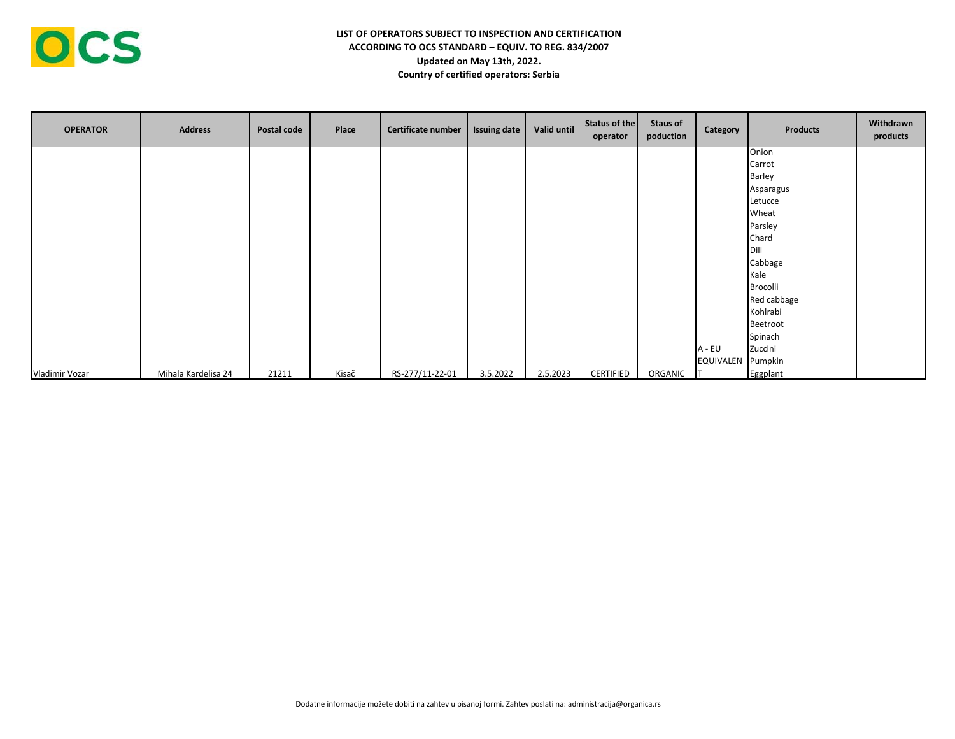| <b>OPERATOR</b> | <b>Address</b>      | Postal code | Place | Certificate number | <b>Issuing date</b> | Valid until | Status of the<br>operator | <b>Staus of</b><br>poduction | Category          | <b>Products</b> | Withdrawn<br>products |
|-----------------|---------------------|-------------|-------|--------------------|---------------------|-------------|---------------------------|------------------------------|-------------------|-----------------|-----------------------|
|                 |                     |             |       |                    |                     |             |                           |                              |                   | Onion           |                       |
|                 |                     |             |       |                    |                     |             |                           |                              |                   | Carrot          |                       |
|                 |                     |             |       |                    |                     |             |                           |                              |                   | Barley          |                       |
|                 |                     |             |       |                    |                     |             |                           |                              |                   | Asparagus       |                       |
|                 |                     |             |       |                    |                     |             |                           |                              |                   | Letucce         |                       |
|                 |                     |             |       |                    |                     |             |                           |                              |                   | Wheat           |                       |
|                 |                     |             |       |                    |                     |             |                           |                              |                   | Parsley         |                       |
|                 |                     |             |       |                    |                     |             |                           |                              |                   | Chard           |                       |
|                 |                     |             |       |                    |                     |             |                           |                              |                   | Dill            |                       |
|                 |                     |             |       |                    |                     |             |                           |                              |                   | Cabbage         |                       |
|                 |                     |             |       |                    |                     |             |                           |                              |                   | Kale            |                       |
|                 |                     |             |       |                    |                     |             |                           |                              |                   | Brocolli        |                       |
|                 |                     |             |       |                    |                     |             |                           |                              |                   | Red cabbage     |                       |
|                 |                     |             |       |                    |                     |             |                           |                              |                   | Kohlrabi        |                       |
|                 |                     |             |       |                    |                     |             |                           |                              |                   | Beetroot        |                       |
|                 |                     |             |       |                    |                     |             |                           |                              |                   | Spinach         |                       |
|                 |                     |             |       |                    |                     |             |                           |                              | A - EU            | Zuccini         |                       |
|                 |                     |             |       |                    |                     |             |                           |                              | EQUIVALEN Pumpkin |                 |                       |
| Vladimir Vozar  | Mihala Kardelisa 24 | 21211       | Kisač | RS-277/11-22-01    | 3.5.2022            | 2.5.2023    | CERTIFIED                 | ORGANIC                      |                   | Eggplant        |                       |